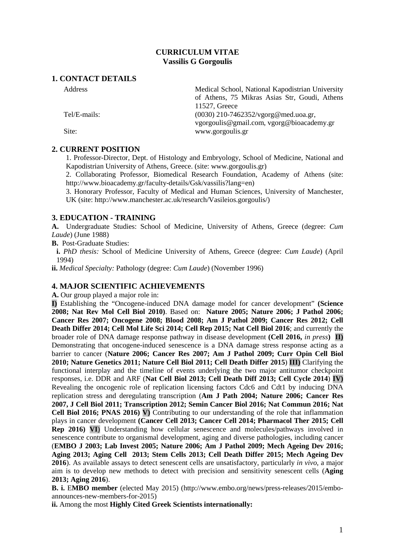## **CURRICULUM VITAE Vassilis G Gorgoulis**

## **1. CONTACT DETAILS**

Address **Medical School, National Kapodistrian University** 

Tel/E-mails: (0030) 210-7462352/vgorg@med.uoa.gr,

Site: www.gorgoulis.gr

## **2. CURRENT POSITION**

1. Professor-Director, Dept. of Histology and Embryology, School of Medicine, National and Kapodistrian University of Athens, Greece. (site: www.gorgoulis.gr)

11527, Greece

of Athens, 75 Mikras Asias Str, Goudi, Athens

vgorgoulis@gmail.com, vgorg@bioacademy.gr

2. Collaborating Professor, Biomedical Research Foundation, Academy of Athens (site: http://www.bioacademy.gr/faculty-details/Gsk/vassilis?lang=en)

3. Honorary Professor, Faculty of Medical and Human Sciences, University of Manchester, UK (site: http://www.manchester.ac.uk/research/Vasileios.gorgoulis/)

## **3. EDUCATION - TRAINING**

**A.** Undergraduate Studies: School of Medicine, University of Athens, Greece (degree: *Cum Laude*) (June 1988)

**B.** Post-Graduate Studies:

**i.** *PhD thesis:* School of Medicine University of Athens, Greece (degree: *Cum Laude*) (April 1994)

**ii.** *Medical Specialty:* Pathology (degree: *Cum Laude*) (November 1996)

## **4. MAJOR SCIENTIFIC ACHIEVEMENTS**

**A.** Our group played a major role in:

**I)** Establishing the "Oncogene-induced DNA damage model for cancer development" **(Science 2008; Nat Rev Mol Cell Biol 2010)**. Based on: **Nature 2005; Nature 2006; J Pathol 2006; Cancer Res 2007; Oncogene 2008; Blood 2008; Am J Pathol 2009; Cancer Res 2012; Cell Death Differ 2014; Cell Mol Life Sci 2014; Cell Rep 2015; Nat Cell Biol 2016**; and currently the broader role of DNA damage response pathway in disease development **(Cell 2016,** *in press***) II)** Demonstrating that oncogene-induced senescence is a DNA damage stress response acting as a barrier to cancer (**Nature 2006; Cancer Res 2007; Am J Pathol 2009; Curr Opin Cell Biol 2010; Nature Genetics 2011; Nature Cell Biol 2011; Cell Death Differ 2015**) **III)** Clarifying the functional interplay and the timeline of events underlying the two major antitumor checkpoint responses, i.e. DDR and ARF (**Nat Cell Biol 2013; Cell Death Diff 2013; Cell Cycle 2014**) **IV)** Revealing the oncogenic role of replication licensing factors Cdc6 and Cdt1 by inducing DNA replication stress and deregulating transcription (**Am J Path 2004; Nature 2006; Cancer Res 2007, J Cell Biol 2011; Transcription 2012; Semin Cancer Biol 2016; Nat Commun 2016; Nat Cell Biol 2016; PNAS 2016) V)** Contributing to our understanding of the role that inflammation plays in cancer development **(Cancer Cell 2013; Cancer Cell 2014; Pharmacol Ther 2015; Cell Rep 2016) VI**) Understanding how cellular senescence and molecules/pathways involved in senescence contribute to organismal development, aging and diverse pathologies, including cancer (**EMBO J 2003; Lab Invest 2005; Nature 2006; Am J Pathol 2009; Mech Ageing Dev 2016; Aging 2013; Aging Cell 2013; Stem Cells 2013; Cell Death Differ 2015; Mech Ageing Dev 2016**). As available assays to detect senescent cells are unsatisfactory, particularly *in vivo*, a major aim is to develop new methods to detect with precision and sensitivity senescent cells (**Aging 2013; Aging 2016**).

**B. i.** E**MBO member** (elected May 2015) (http://www.embo.org/news/press-releases/2015/emboannounces-new-members-for-2015)

**ii.** Among the most **Highly Cited Greek Scientists internationally:**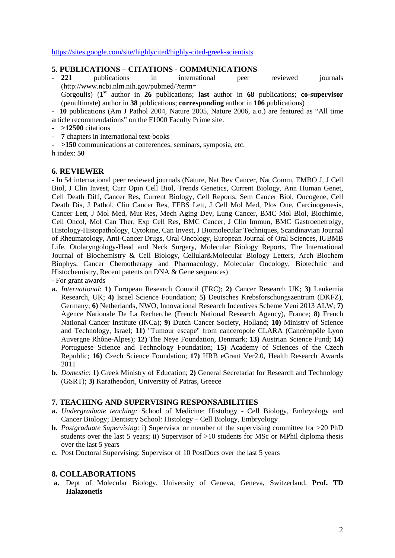<https://sites.google.com/site/highlycited/highly-cited-greek-scientists>

# **5. PUBLICATIONS – CITATIONS - COMMUNICATIONS**

221 publications in international peer reviewed journals (http://www.ncbi.nlm.nih.gov/pubmed/?term= Gorgoulis) (**1st** author in **26** publications; **last** author in **68** publications; **co-supervisor**

(penultimate) author in **38** publications; **corresponding** author in **106** publications)

- **10** publications (Am J Pathol 2004, Nature 2005, Nature 2006, a.o.) are featured as "All time article recommendations" on the F1000 Faculty Prime site.

- **>12500** citations
- **7** chapters in international text-books
- **>150** communications at conferences, seminars, symposia, etc.

h index: **50**

#### **6. REVIEWER**

- In 54 international peer reviewed journals (Nature, Nat Rev Cancer, Nat Comm, EMBO J, J Cell Biol, J Clin Invest, Curr Opin Cell Biol, Trends Genetics, Current Biology, Ann Human Genet, Cell Death Diff, Cancer Res, Current Biology, Cell Reports, Sem Cancer Biol, Oncogene, Cell Death Dis, J Pathol, Clin Cancer Res, FEBS Lett, J Cell Mol Med, Plos One, Carcinogenesis, Cancer Lett, J Mol Med, Mut Res, Mech Aging Dev, Lung Cancer, BMC Mol Biol, Biochimie, Cell Oncol, Mol Can Ther, Exp Cell Res, BMC Cancer, J Clin Immun, BMC Gastroenetrolgy, Histology-Histopathology, Cytokine, Can Invest, J Biomolecular Techniques, Scandinavian Journal of Rheumatology, Anti-Cancer Drugs, Oral Oncology, European Journal of Oral Sciences, IUBMB Life, Otolaryngology-Head and Neck Surgery, Molecular Biology Reports, The International Journal of Biochemistry & Cell Biology, Cellular&Molecular Biology Letters, Arch Biochem Biophys, Cancer Chemotherapy and Pharmacology, Molecular Oncology, Biotechnic and Histochemistry, Recent patents on DNA & Gene sequences)

- For grant awards

- **a.** *International*: **1)** European Research Council (ERC); **2)** Cancer Research UK; **3)** Leukemia Research, UK; **4)** Israel Science Foundation; **5)** Deutsches Krebsforschungszentrum (DKFZ), Germany; **6)** Netherlands, NWO, Innovational Research Incentives Scheme Veni 2013 ALW; **7)** Agence Nationale De La Recherche (French National Research Agency), France; **8)** French National Cancer Institute (INCa); **9)** Dutch Cancer Society, Holland; **10)** Ministry of Science and Technology, Israel; **11)** "Tumour escape" from canceropole CLARA (Cancéropôle Lyon Auvergne Rhône-Alpes); **12)** The Neye Foundation, Denmark; **13)** Austrian Science Fund; **14)** Portuguese Science and Technology Foundation; **15)** Academy of Sciences of the Czech Republic; **16)** Czech Science Foundation; **17)** HRB eGrant Ver2.0, Health Research Awards 2011
- **b.** *Domestic*: **1)** Greek Ministry of Education; **2)** General Secretariat for Research and Technology (GSRT); **3)** Karatheodori, University of Patras, Greece

## **7. TEACHING AND SUPERVISING RESPONSABILITIES**

- **a.** *Undergraduate teaching:* School of Medicine: Histology Cell Biology, Embryology and Cancer Biology; Dentistry School: Histology – Cell Biology, Embryology
- **b.** *Postgraduate Supervising:* i) Supervisor or member of the supervising committee for >20 PhD students over the last 5 years; ii) Supervisor of >10 students for MSc or MPhil diploma thesis over the last 5 years
- **c.** Post Doctoral Supervising: Supervisor of 10 PostDocs over the last 5 years

## **8. COLLABORATIONS**

**a.** Dept of Molecular Biology, University of Geneva, Geneva, Switzerland. **Prof. TD Halazonetis**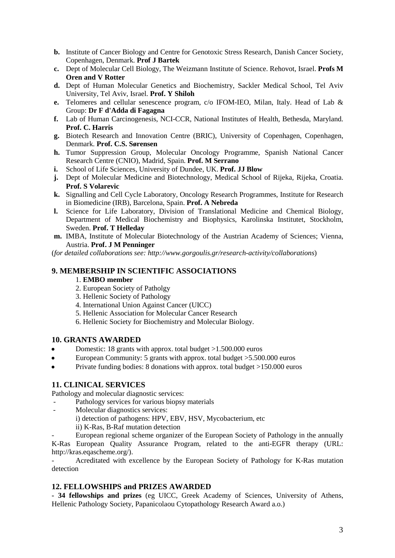- **b.** Institute of Cancer Biology and Centre for Genotoxic Stress Research, Danish Cancer Society, Copenhagen, Denmark. **Prof J Bartek**
- **c.** Dept of Molecular Cell Biology, The Weizmann Institute of Science. Rehovot, Israel. **Profs M Oren and V Rotter**
- **d.** Dept of Human Molecular Genetics and Biochemistry, Sackler Medical School, Tel Aviv University, Tel Aviv, Israel. **Prof. Y Shiloh**
- **e.** Telomeres and cellular senescence program, c/o IFOM-IEO, Milan, Italy. Head of Lab & Group: **Dr F d'Adda di Fagagna**
- **f.** Lab of Human Carcinogenesis, NCI-CCR, National Institutes of Health, Bethesda, Maryland. **Prof. C. Harris**
- **g.** Biotech Research and Innovation Centre (BRIC), University of Copenhagen, Copenhagen, Denmark. **Prof. C.S. Sørensen**
- **h.** Tumor Suppression Group, Molecular Oncology Programme, Spanish National Cancer Research Centre (CNIO), Madrid, Spain. **Prof. M Serrano**
- **i.** School of Life Sciences, University of Dundee, UK. **Prof. JJ Blow**
- **j.** Dept of Molecular Medicine and Biotechnology, Medical School of Rijeka, Rijeka, Croatia. **Prof. S Volarevic**
- **k.** Signalling and Cell Cycle Laboratory, Oncology Research Programmes, Institute for Research in Biomedicine (IRB), Barcelona, Spain. **Prof. A Nebreda**
- **l.** Science for Life Laboratory, Division of Translational Medicine and Chemical Biology, Department of Medical Biochemistry and Biophysics, Karolinska Institutet, Stockholm, Sweden. **Prof. T Helleday**
- **m.** IMBA, Institute of Molecular Biotechnology of the Austrian Academy of Sciences; Vienna, Austria. **Prof. J M Penninger**

(*for detailed collaborations see: http://www.gorgoulis.gr/research-activity/collaborations*)

## **9. MEMBERSHIP IN SCIENTIFIC ASSOCIATIONS**

## 1. **EMBO member**

- 2. European Society of Patholgy
- 3. Hellenic Society of Pathology
- 4. International Union Against Cancer (UICC)
- 5. Hellenic Association for Molecular Cancer Research
- 6. Hellenic Society for Biochemistry and Molecular Biology.

## **10. GRANTS AWARDED**

- Domestic: 18 grants with approx. total budget >1.500.000 euros
- European Community: 5 grants with approx. total budget >5.500.000 euros
- Private funding bodies: 8 donations with approx. total budget >150.000 euros

## **11. CLINICAL SERVICES**

Pathology and molecular diagnostic services:

- Pathology services for various biopsy materials
- Molecular diagnostics services:
	- i) detection of pathogens: HPV, EBV, HSV, Mycobacterium, etc
	- ii) K-Ras, B-Raf mutation detection

- European regional scheme organizer of the European Society of Pathology in the annually K-Ras European Quality Assurance Program, related to the anti-EGFR therapy (URL: http://kras.eqascheme.org/).

- Acreditated with excellence by the European Society of Pathology for K-Ras mutation detection

## **12. FELLOWSHIPS and PRIZES AWARDED**

**- 34 fellowships and prizes** (eg UICC, Greek Academy of Sciences, University of Athens, Hellenic Pathology Society, Papanicolaou Cytopathology Research Award a.o.)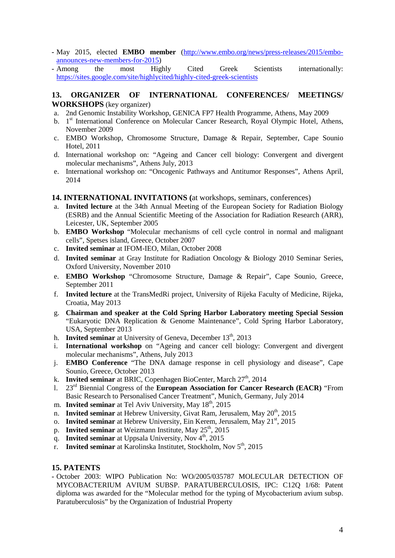- **-** May 2015, elected **EMBO member** [\(http://www.embo.org/news/press-releases/2015/embo](http://www.embo.org/news/press-releases/2015/embo-announces-new-members-for-2015)[announces-new-members-for-2015\)](http://www.embo.org/news/press-releases/2015/embo-announces-new-members-for-2015)
- **-** Among the most Highly Cited Greek Scientists internationally: <https://sites.google.com/site/highlycited/highly-cited-greek-scientists>

## **13. ORGANIZER OF INTERNATIONAL CONFERENCES/ MEETINGS/ WORKSHOPS** (key organizer)

- a. 2nd Genomic Instability Workshop, GENICA FP7 Health Programme, Athens, May 2009
- b. 1<sup>st</sup> International Conference on Molecular Cancer Research, Royal Olympic Hotel, Athens, November 2009
- c. EMBO Workshop, Chromosome Structure, Damage & Repair, September, Cape Sounio Hotel, 2011
- d. International workshop on: "Ageing and Cancer cell biology: Convergent and divergent molecular mechanisms", Athens July, 2013
- e. International workshop on: "Oncogenic Pathways and Antitumor Responses", Athens April, 2014
- **14. INTERNATIONAL INVITATIONS (**at workshops, seminars, conferences)
- a. **Invited lecture** at the 34th Annual Meeting of the European Society for Radiation Biology (ESRB) and the Annual Scientific Meeting of the Association for Radiation Research (ARR), Leicester, UK, September 2005
- b. **EMBO Workshop** "Molecular mechanisms of cell cycle control in normal and malignant cells", Spetses island, Greece, October 2007
- c. **Invited seminar** at IFOM-IEO, Milan, October 2008
- d. **Invited seminar** at Gray Institute for Radiation Oncology & Biology 2010 Seminar Series, Oxford University, November 2010
- e. **EMBO Workshop** "Chromosome Structure, Damage & Repair", Cape Sounio, Greece, September 2011
- f. **Invited lecture** at the TransMedRi project, University of Rijeka Faculty of Medicine, Rijeka, Croatia, May 2013
- g. **Chairman and speaker at the Cold Spring Harbor Laboratory meeting Special Session** "Eukaryotic DNA Replication & Genome Maintenance", Cold Spring Harbor Laboratory, USA, September 2013
- h. **Invited seminar** at University of Geneva, December 13<sup>th</sup>, 2013
- i. **International workshop** on "Ageing and cancer cell biology: Convergent and divergent molecular mechanisms", Athens, July 2013
- j. **EMBO Conference** "The DNA damage response in cell physiology and disease", Cape Sounio, Greece, October 2013
- k. **Invited seminar** at BRIC, Copenhagen BioCenter, March 27<sup>th</sup>, 2014
- l. 23rd Biennial Congress of the **European Association for Cancer Research (EACR)** "From Basic Research to Personalised Cancer Treatment", Munich, Germany, July 2014
- m. **Invited seminar** at Tel Aviv University, May  $18<sup>th</sup>$ , 2015
- n. **Invited seminar** at Hebrew University, Givat Ram, Jerusalem, May 20<sup>th</sup>, 2015
- o. **Invited seminar** at Hebrew University, Ein Kerem, Jerusalem, May 21<sup>st</sup>, 2015
- p. **Invited seminar** at Weizmann Institute, May 25<sup>th</sup>, 2015
- q. **Invited seminar** at Uppsala University, Nov  $4<sup>th</sup>$ , 2015
- r. **Invited seminar** at Karolinska Institutet, Stockholm, Nov 5th, 2015

## **15. PATENTS**

**-** October 2003: WIPO Publication No: WO/2005/035787 MOLECULAR DETECTION OF MYCOBACTERIUM AVIUM SUBSP. PARATUBERCULOSIS, IPC: C12Q 1/68: Patent diploma was awarded for the "Molecular method for the typing of Mycobacterium avium subsp. Paratuberculosis" by the Organization of Industrial Property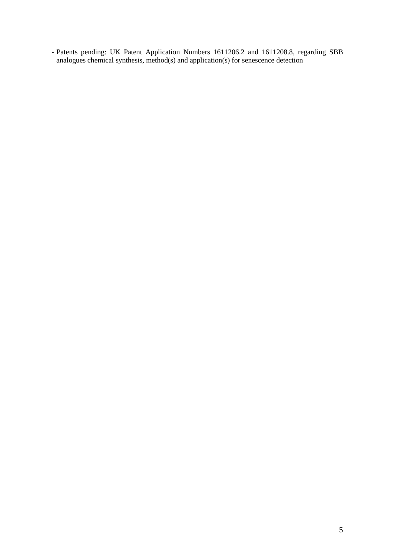**-** Patents pending: UK Patent Application Numbers 1611206.2 and 1611208.8, regarding SBB analogues chemical synthesis, method(s) and application(s) for senescence detection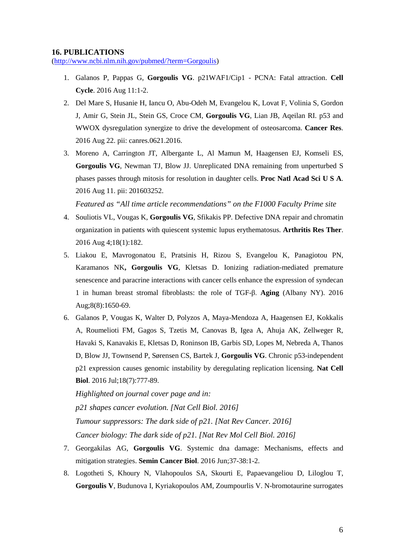#### **16. PUBLICATIONS**

[\(http://www.ncbi.nlm.nih.gov/pubmed/?term=Gorgoulis\)](http://www.ncbi.nlm.nih.gov/pubmed/?term=Gorgoulis)

- 1. Galanos P, Pappas G, **Gorgoulis VG**. p21WAF1/Cip1 PCNA: Fatal attraction. **Cell Cycle**. 2016 Aug 11:1-2.
- 2. Del Mare S, Husanie H, Iancu O, Abu-Odeh M, Evangelou K, Lovat F, Volinia S, Gordon J, Amir G, Stein JL, Stein GS, Croce CM, **Gorgoulis VG**, Lian JB, Aqeilan RI. p53 and WWOX dysregulation synergize to drive the development of osteosarcoma. **Cancer Res**. 2016 Aug 22. pii: canres.0621.2016.
- 3. Moreno A, Carrington JT, Albergante L, Al Mamun M, Haagensen EJ, Komseli ES, **Gorgoulis VG**, Newman TJ, Blow JJ. Unreplicated DNA remaining from unperturbed S phases passes through mitosis for resolution in daughter cells. **Proc Natl Acad Sci U S A**. 2016 Aug 11. pii: 201603252.

*Featured as "All time article recommendations" on the F1000 Faculty Prime site*

- 4. Souliotis VL, Vougas K, **Gorgoulis VG**, Sfikakis PP. Defective DNA repair and chromatin organization in patients with quiescent systemic lupus erythematosus. **Arthritis Res Ther**. 2016 Aug 4;18(1):182.
- 5. Liakou E, Mavrogonatou E, Pratsinis H, Rizou S, Evangelou K, Panagiotou PN, Karamanos NK**, Gorgoulis VG**, Kletsas D. Ionizing radiation-mediated premature senescence and paracrine interactions with cancer cells enhance the expression of syndecan 1 in human breast stromal fibroblasts: the role of TGF-β. **Aging** (Albany NY). 2016 Aug;8(8):1650-69.
- 6. Galanos P, Vougas K, Walter D, Polyzos A, Maya-Mendoza A, Haagensen EJ, Kokkalis A, Roumelioti FM, Gagos S, Tzetis M, Canovas B, Igea A, Ahuja AK, Zellweger R, Havaki S, Kanavakis E, Kletsas D, Roninson IB, Garbis SD, Lopes M, Nebreda A, Thanos D, Blow JJ, Townsend P, Sørensen CS, Bartek J, **Gorgoulis VG**. Chronic p53-independent p21 expression causes genomic instability by deregulating replication licensing. **Nat Cell Biol**. 2016 Jul;18(7):777-89.

*Highlighted on journal cover page and in: p21 shapes cancer evolution. [Nat Cell Biol. 2016] Tumour suppressors: The dark side of p21. [Nat Rev Cancer. 2016] Cancer biology: The dark side of p21. [Nat Rev Mol Cell Biol. 2016]*

- 7. Georgakilas AG, **Gorgoulis VG**. Systemic dna damage: Mechanisms, effects and mitigation strategies. **Semin Cancer Biol**. 2016 Jun;37-38:1-2.
- 8. Logotheti S, Khoury N, Vlahopoulos SA, Skourti E, Papaevangeliou D, Liloglou T, **Gorgoulis V**, Budunova I, Kyriakopoulos AM, Zoumpourlis V. N-bromotaurine surrogates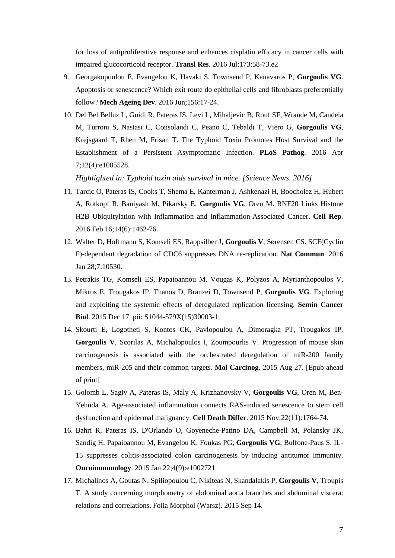for loss of antiproliferative response and enhances cisplatin efficacy in cancer cells with impaired glucocorticoid receptor. **Transl Res**. 2016 Jul;173:58-73.e2

- 9. Georgakopoulou E, Evangelou K, Havaki S, Townsend P, Kanavaros P, **Gorgoulis VG**. Apoptosis or senescence? Which exit route do epithelial cells and fibroblasts preferentially follow? **Mech Ageing Dev**. 2016 Jun;156:17-24.
- 10. Del Bel Belluz L, Guidi R, Pateras IS, Levi L, Mihaljevic B, Rouf SF, Wrande M, Candela M, Turroni S, Nastasi C, Consolandi C, Peano C, Tebaldi T, Viero G, **Gorgoulis VG**, Krejsgaard T, Rhen M, Frisan T. The Typhoid Toxin Promotes Host Survival and the Establishment of a Persistent Asymptomatic Infection. **PLoS Pathog**. 2016 Apr 7;12(4):e1005528.

*Highlighted in: Typhoid toxin aids survival in mice. [Science News. 2016]*

- 11. Tarcic O, Pateras IS, Cooks T, Shema E, Kanterman J, Ashkenazi H, Boocholez H, Hubert A, Rotkopf R, Baniyash M, Pikarsky E, **Gorgoulis VG**, Oren M. RNF20 Links Histone H2B Ubiquitylation with Inflammation and Inflammation-Associated Cancer. **Cell Rep**. 2016 Feb 16;14(6):1462-76.
- 12. Walter D, Hoffmann S, Komseli ES, Rappsilber J, **Gorgoulis V**, Sørensen CS. SCF(Cyclin F)-dependent degradation of CDC6 suppresses DNA re-replication. **Nat Commun**. 2016 Jan 28;7:10530.
- 13. Petrakis TG, Komseli ES, Papaioannou M, Vougas K, Polyzos A, Myrianthopoulos V, Mikros E, Trougakos IP, Thanos D, Branzei D, Townsend P, **Gorgoulis VG**. Exploring and exploiting the systemic effects of deregulated replication licensing. **Semin Cancer Biol**. 2015 Dec 17. pii: S1044-579X(15)30003-1.
- 14. Skourti E, Logotheti S, Kontos CK, Pavlopoulou A, Dimoragka PT, Trougakos IP, **Gorgoulis V**, Scorilas A, Michalopoulos I, Zoumpourlis V. Progression of mouse skin carcinogenesis is associated with the orchestrated deregulation of miR-200 family members, miR-205 and their common targets. **Mol Carcinog**. 2015 Aug 27. [Epub ahead of print]
- 15. Golomb L, Sagiv A, Pateras IS, Maly A, Krizhanovsky V, **Gorgoulis VG**, Oren M, Ben-Yehuda A. Age-associated inflammation connects RAS-induced senescence to stem cell dysfunction and epidermal malignancy. **Cell Death Differ**. 2015 Nov;22(11):1764-74.
- 16. Bahri R, Pateras IS, D'Orlando O, Goyeneche-Patino DA, Campbell M, Polansky JK, Sandig H, Papaioannou M, Evangelou K, Foukas PG**, Gorgoulis VG**, Bulfone-Paus S. IL-15 suppresses colitis-associated colon carcinogenesis by inducing antitumor immunity. **Oncoimmunology**. 2015 Jan 22;4(9):e1002721.
- 17. Michalinos A, Goutas N, Spiliopoulou C, Nikiteas N, Skandalakis P, **Gorgoulis V**, Troupis T. A study concerning morphometry of abdominal aorta branches and abdominal viscera: relations and correlations. Folia Morphol (Warsz). 2015 Sep 14.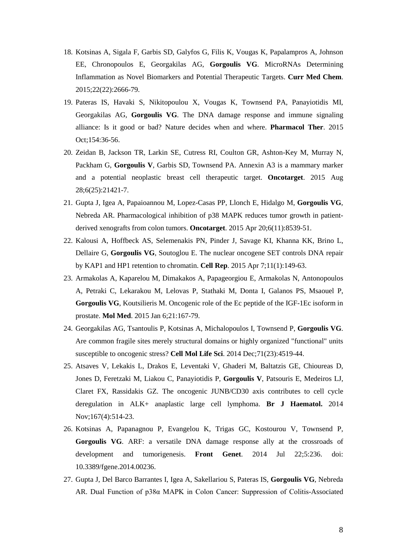- 18. Kotsinas A, Sigala F, Garbis SD, Galyfos G, Filis K, Vougas K, Papalampros A, Johnson EE, Chronopoulos E, Georgakilas AG, **Gorgoulis VG**. MicroRNAs Determining Inflammation as Novel Biomarkers and Potential Therapeutic Targets. **Curr Med Chem**. 2015;22(22):2666-79.
- 19. Pateras IS, Havaki S, Nikitopoulou X, Vougas K, Townsend PA, Panayiotidis MI, Georgakilas AG, **Gorgoulis VG**. The DNA damage response and immune signaling alliance: Is it good or bad? Nature decides when and where. **Pharmacol Ther**. 2015 Oct;154:36-56.
- 20. Zeidan B, Jackson TR, Larkin SE, Cutress RI, Coulton GR, Ashton-Key M, Murray N, Packham G, **Gorgoulis V**, Garbis SD, Townsend PA. Annexin A3 is a mammary marker and a potential neoplastic breast cell therapeutic target. **Oncotarget**. 2015 Aug 28;6(25):21421-7.
- 21. Gupta J, Igea A, Papaioannou M, Lopez-Casas PP, Llonch E, Hidalgo M, **Gorgoulis VG**, Nebreda AR. Pharmacological inhibition of p38 MAPK reduces tumor growth in patientderived xenografts from colon tumors. **Oncotarget**. 2015 Apr 20;6(11):8539-51.
- 22. Kalousi A, Hoffbeck AS, Selemenakis PN, Pinder J, Savage KI, Khanna KK, Brino L, Dellaire G, **Gorgoulis VG**, Soutoglou E. The nuclear oncogene SET controls DNA repair by KAP1 and HP1 retention to chromatin. **Cell Rep**. 2015 Apr 7;11(1):149-63.
- 23. Armakolas A, Kaparelou M, Dimakakos A, Papageorgiou E, Armakolas N, Antonopoulos A, Petraki C, Lekarakou M, Lelovas P, Stathaki M, Donta I, Galanos PS, Msaouel P, **Gorgoulis VG**, Koutsilieris M. Oncogenic role of the Ec peptide of the IGF-1Ec isoform in prostate. **Mol Med**. 2015 Jan 6;21:167-79.
- 24. Georgakilas AG, Tsantoulis P, Kotsinas A, Michalopoulos I, Townsend P, **Gorgoulis VG**. Are common fragile sites merely structural domains or highly organized "functional" units susceptible to oncogenic stress? **Cell Mol Life Sci**. 2014 Dec;71(23):4519-44.
- 25. Atsaves V, Lekakis L, Drakos E, Leventaki V, Ghaderi M, Baltatzis GE, Chioureas D, Jones D, Feretzaki M, Liakou C, Panayiotidis P, **Gorgoulis V**, Patsouris E, Medeiros LJ, Claret FX, Rassidakis GZ. The oncogenic JUNB/CD30 axis contributes to cell cycle deregulation in ALK+ anaplastic large cell lymphoma. **Br J Haematol.** 2014 Nov;167(4):514-23.
- 26. Kotsinas A, Papanagnou P, Evangelou K, Trigas GC, Kostourou V, Townsend P, **Gorgoulis VG**. ARF: a versatile DNA damage response ally at the crossroads of development and tumorigenesis. **Front Genet**. 2014 Jul 22;5:236. doi: 10.3389/fgene.2014.00236.
- 27. Gupta J, Del Barco Barrantes I, Igea A, Sakellariou S, Pateras IS, **Gorgoulis VG**, Nebreda AR. Dual Function of p38α MAPK in Colon Cancer: Suppression of Colitis-Associated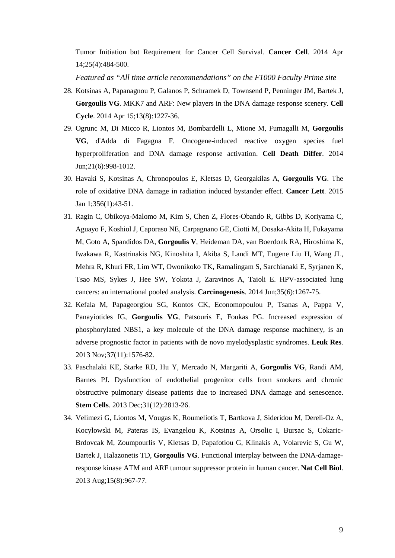Tumor Initiation but Requirement for Cancer Cell Survival. **Cancer Cell**. 2014 Apr 14;25(4):484-500.

- 28. Kotsinas A, Papanagnou P, Galanos P, Schramek D, Townsend P, Penninger JM, Bartek J, **Gorgoulis VG**. MKK7 and ARF: New players in the DNA damage response scenery. **Cell Cycle**. 2014 Apr 15;13(8):1227-36.
- 29. Ogrunc M, Di Micco R, Liontos M, Bombardelli L, Mione M, Fumagalli M, **Gorgoulis VG**, d'Adda di Fagagna F. Oncogene-induced reactive oxygen species fuel hyperproliferation and DNA damage response activation. **Cell Death Differ**. 2014 Jun;21(6):998-1012.
- 30. Havaki S, Kotsinas A, Chronopoulos E, Kletsas D, Georgakilas A, **Gorgoulis VG**. The role of oxidative DNA damage in radiation induced bystander effect. **Cancer Lett**. 2015 Jan 1;356(1):43-51.
- 31. Ragin C, Obikoya-Malomo M, Kim S, Chen Z, Flores-Obando R, Gibbs D, Koriyama C, Aguayo F, Koshiol J, Caporaso NE, Carpagnano GE, Ciotti M, Dosaka-Akita H, Fukayama M, Goto A, Spandidos DA, **Gorgoulis V**, Heideman DA, van Boerdonk RA, Hiroshima K, Iwakawa R, Kastrinakis NG, Kinoshita I, Akiba S, Landi MT, Eugene Liu H, Wang JL, Mehra R, Khuri FR, Lim WT, Owonikoko TK, Ramalingam S, Sarchianaki E, Syrjanen K, Tsao MS, Sykes J, Hee SW, Yokota J, Zaravinos A, Taioli E. HPV-associated lung cancers: an international pooled analysis. **Carcinogenesis**. 2014 Jun;35(6):1267-75.
- 32. Kefala M, Papageorgiou SG, Kontos CK, Economopoulou P, Tsanas A, Pappa V, Panayiotides IG, **Gorgoulis VG**, Patsouris E, Foukas PG. Increased expression of phosphorylated NBS1, a key molecule of the DNA damage response machinery, is an adverse prognostic factor in patients with de novo myelodysplastic syndromes. **Leuk Res**. 2013 Nov;37(11):1576-82.
- 33. Paschalaki KE, Starke RD, Hu Y, Mercado N, Margariti A, **Gorgoulis VG**, Randi AM, Barnes PJ. Dysfunction of endothelial progenitor cells from smokers and chronic obstructive pulmonary disease patients due to increased DNA damage and senescence. **Stem Cells**. 2013 Dec;31(12):2813-26.
- 34. Velimezi G, Liontos M, Vougas K, Roumeliotis T, Bartkova J, Sideridou M, Dereli-Oz A, Kocylowski M, Pateras IS, Evangelou K, Kotsinas A, Orsolic I, Bursac S, Cokaric-Brdovcak M, Zoumpourlis V, Kletsas D, Papafotiou G, Klinakis A, Volarevic S, Gu W, Bartek J, Halazonetis TD, **Gorgoulis VG**. Functional interplay between the DNA-damageresponse kinase ATM and ARF tumour suppressor protein in human cancer. **Nat Cell Biol**. 2013 Aug;15(8):967-77.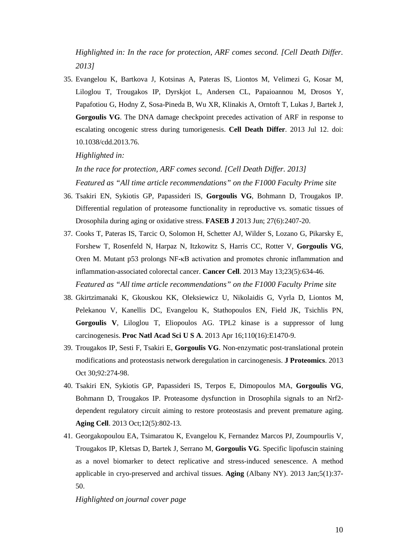*Highlighted in: In the race for protection, ARF comes second. [Cell Death Differ. 2013]*

35. Evangelou K, Bartkova J, Kotsinas A, Pateras IS, Liontos M, Velimezi G, Kosar M, Liloglou T, Trougakos IP, Dyrskjot L, Andersen CL, Papaioannou M, Drosos Y, Papafotiou G, Hodny Z, Sosa-Pineda B, Wu XR, Klinakis A, Orntoft T, Lukas J, Bartek J, **Gorgoulis VG**. The DNA damage checkpoint precedes activation of ARF in response to escalating oncogenic stress during tumorigenesis. **Cell Death Differ**. 2013 Jul 12. doi: 10.1038/cdd.2013.76.

*Highlighted in:* 

*In the race for protection, ARF comes second. [Cell Death Differ. 2013] Featured as "All time article recommendations" on the F1000 Faculty Prime site*

- 36. Tsakiri EN, Sykiotis GP, Papassideri IS, **Gorgoulis VG**, Bohmann D, Trougakos IP. Differential regulation of proteasome functionality in reproductive vs. somatic tissues of Drosophila during aging or oxidative stress. **FASEB J** 2013 Jun; 27(6):2407-20.
- 37. Cooks T, Pateras IS, Tarcic O, Solomon H, Schetter AJ, Wilder S, Lozano G, Pikarsky E, Forshew T, Rosenfeld N, Harpaz N, Itzkowitz S, Harris CC, Rotter V, **Gorgoulis VG**, Oren M. Mutant p53 prolongs NF-κB activation and promotes chronic inflammation and inflammation-associated colorectal cancer. **Cancer Cell**. 2013 May 13;23(5):634-46. *Featured as "All time article recommendations" on the F1000 Faculty Prime site*
- 38. Gkirtzimanaki K, Gkouskou KK, Oleksiewicz U, Nikolaidis G, Vyrla D, Liontos M, Pelekanou V, Kanellis DC, Evangelou K, Stathopoulos EN, Field JK, Tsichlis PN, **Gorgoulis V**, Liloglou T, Eliopoulos AG. TPL2 kinase is a suppressor of lung carcinogenesis. **Proc Natl Acad Sci U S A**. 2013 Apr 16;110(16):E1470-9.
- 39. Trougakos IP, Sesti F, Tsakiri E, **Gorgoulis VG**. Non-enzymatic post-translational protein modifications and proteostasis network deregulation in carcinogenesis. **J Proteomics**. 2013 Oct 30;92:274-98.
- 40. Tsakiri EN, Sykiotis GP, Papassideri IS, Terpos E, Dimopoulos MA, **Gorgoulis VG**, Bohmann D, Trougakos IP. Proteasome dysfunction in Drosophila signals to an Nrf2 dependent regulatory circuit aiming to restore proteostasis and prevent premature aging. **Aging Cell**. 2013 Oct;12(5):802-13.
- 41. Georgakopoulou EA, Tsimaratou K, Evangelou K, Fernandez Marcos PJ, Zoumpourlis V, Trougakos IP, Kletsas D, Bartek J, Serrano M, **Gorgoulis VG**. Specific lipofuscin staining as a novel biomarker to detect replicative and stress-induced senescence. A method applicable in cryo-preserved and archival tissues. **Aging** (Albany NY). 2013 Jan;5(1):37- 50.

*Highlighted on journal cover page*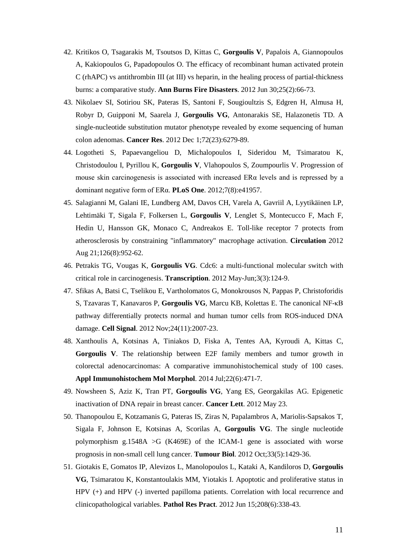- 42. Kritikos O, Tsagarakis M, Tsoutsos D, Kittas C, **Gorgoulis V**, Papalois A, Giannopoulos A, Kakiopoulos G, Papadopoulos O. The efficacy of recombinant human activated protein C (rhAPC) vs antithrombin III (at III) vs heparin, in the healing process of partial-thickness burns: a comparative study. **Ann Burns Fire Disasters**. 2012 Jun 30;25(2):66-73.
- 43. Nikolaev SI, Sotiriou SK, Pateras IS, Santoni F, Sougioultzis S, Edgren H, Almusa H, Robyr D, Guipponi M, Saarela J, **Gorgoulis VG**, Antonarakis SE, Halazonetis TD. A single-nucleotide substitution mutator phenotype revealed by exome sequencing of human colon adenomas. **Cancer Res**. 2012 Dec 1;72(23):6279-89.
- 44. Logotheti S, Papaevangeliou D, Michalopoulos I, Sideridou M, Tsimaratou K, Christodoulou I, Pyrillou K, **Gorgoulis V**, Vlahopoulos S, Zoumpourlis V. Progression of mouse skin carcinogenesis is associated with increased ERα levels and is repressed by a dominant negative form of ERα. **PLoS One**. 2012;7(8):e41957.
- 45. Salagianni M, Galani IE, Lundberg AM, Davos CH, Varela A, Gavriil A, Lyytikäinen LP, Lehtimäki T, Sigala F, Folkersen L, **Gorgoulis V**, Lenglet S, Montecucco F, Mach F, Hedin U, Hansson GK, Monaco C, Andreakos E. Toll-like receptor 7 protects from atherosclerosis by constraining "inflammatory" macrophage activation. **Circulation** 2012 Aug 21;126(8):952-62.
- 46. Petrakis TG, Vougas K, **Gorgoulis VG**. Cdc6: a multi-functional molecular switch with critical role in carcinogenesis. **Transcription**. 2012 May-Jun;3(3):124-9.
- 47. Sfikas A, Batsi C, Tselikou E, Vartholomatos G, Monokrousos N, Pappas P, Christoforidis S, Tzavaras T, Kanavaros P, **Gorgoulis VG**, Marcu KB, Kolettas E. The canonical NF-κB pathway differentially protects normal and human tumor cells from ROS-induced DNA damage. **Cell Signal**. 2012 Nov;24(11):2007-23.
- 48. Xanthoulis A, Kotsinas A, Tiniakos D, Fiska A, Tentes AA, Kyroudi A, Kittas C, **Gorgoulis V**. The relationship between E2F family members and tumor growth in colorectal adenocarcinomas: A comparative immunohistochemical study of 100 cases. **Appl Immunohistochem Mol Morphol**. 2014 Jul;22(6):471-7.
- 49. Nowsheen S, Aziz K, Tran PT, **Gorgoulis VG**, Yang ES, Georgakilas AG. Epigenetic inactivation of DNA repair in breast cancer. **Cancer Lett**. 2012 May 23.
- 50. Thanopoulou E, Kotzamanis G, Pateras IS, Ziras N, Papalambros A, Mariolis-Sapsakos T, Sigala F, Johnson E, Kotsinas A, Scorilas A, **Gorgoulis VG**. The single nucleotide polymorphism g.1548A >G (K469E) of the ICAM-1 gene is associated with worse prognosis in non-small cell lung cancer. **Tumour Biol**. 2012 Oct;33(5):1429-36.
- 51. Giotakis E, Gomatos IP, Alevizos L, Manolopoulos L, Kataki A, Kandiloros D, **Gorgoulis VG**, Tsimaratou K, Konstantoulakis MM, Yiotakis I. Apoptotic and proliferative status in HPV (+) and HPV (-) inverted papilloma patients. Correlation with local recurrence and clinicopathological variables. **Pathol Res Pract**. 2012 Jun 15;208(6):338-43.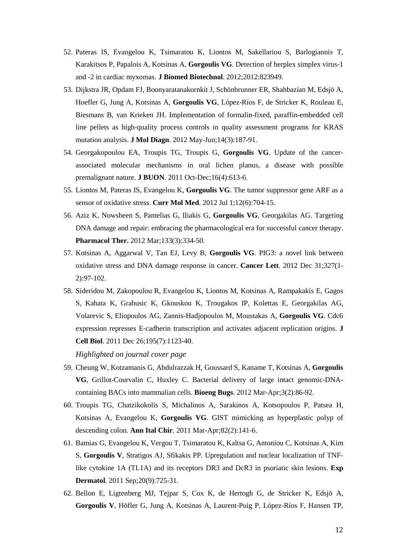- 52. Pateras IS, Evangelou K, Tsimaratou K, Liontos M, Sakellariou S, Barlogiannis T, Karakitsos P, Papalois A, Kotsinas A, **Gorgoulis VG**. Detection of herplex simplex virus-1 and -2 in cardiac myxomas. **J Biomed Biotechnol**. 2012;2012:823949.
- 53. Dijkstra JR, Opdam FJ, Boonyaratanakornkit J, Schönbrunner ER, Shahbazian M, Edsjö A, Hoefler G, Jung A, Kotsinas A, **Gorgoulis VG**, López-Ríos F, de Stricker K, Rouleau E, Biesmans B, van Krieken JH. Implementation of formalin-fixed, paraffin-embedded cell line pellets as high-quality process controls in quality assessment programs for KRAS mutation analysis. **J Mol Diagn**. 2012 May-Jun;14(3):187-91.
- 54. Georgakopoulou EA, Troupis TG, Troupis G, **Gorgoulis VG**. Update of the cancerassociated molecular mechanisms in oral lichen planus, a disease with possible premalignant nature. **J BUON**. 2011 Oct-Dec;16(4):613-6.
- 55. Liontos M, Pateras IS, Evangelou K, **Gorgoulis VG**. The tumor suppressor gene ARF as a sensor of oxidative stress. **Curr Mol Med**. 2012 Jul 1;12(6):704-15.
- 56. Aziz K, Nowsheen S, Pantelias G, Iliakis G, **Gorgoulis VG**, Georgakilas AG. Targeting DNA damage and repair: embracing the pharmacological era for successful cancer therapy. **Pharmacol Ther.** 2012 Mar;133(3):334-50.
- 57. Kotsinas A, Aggarwal V, Tan EJ, Levy B, **Gorgoulis VG**. PIG3: a novel link between oxidative stress and DNA damage response in cancer. **Cancer Lett**. 2012 Dec 31;327(1- 2):97-102.
- 58. Sideridou M, Zakopoulou R, Evangelou K, Liontos M, Kotsinas A, Rampakakis E, Gagos S, Kahata K, Grabusic K, Gkouskou K, Trougakos IP, Kolettas E, Georgakilas AG, Volarevic S, Eliopoulos AG, Zannis-Hadjopoulos M, Moustakas A, **Gorgoulis VG**. Cdc6 expression represses E-cadherin transcription and activates adjacent replication origins. **J Cell Biol**. 2011 Dec 26;195(7):1123-40.

*Highlighted on journal cover page*

- 59. Cheung W, Kotzamanis G, Abdulrazzak H, Goussard S, Kaname T, Kotsinas A, **Gorgoulis VG**, Grillot-Courvalin C, Huxley C. Bacterial delivery of large intact genomic-DNAcontaining BACs into mammalian cells. **Bioeng Bugs**. 2012 Mar-Apr;3(2):86-92.
- 60. Troupis TG, Chatzikokolis S, Michalinos A, Sarakinos A, Kotsopoulos P, Patsea H, Kotsinas A, Evangelou K, **Gorgoulis VG**. GIST mimicking an hyperplastic polyp of descending colon. **Ann Ital Chir**. 2011 Mar-Apr;82(2):141-6.
- 61. Bamias G, Evangelou K, Vergou T, Tsimaratou K, Kaltsa G, Antoniou C, Kotsinas A, Kim S, **Gorgoulis V**, Stratigos AJ, Sfikakis PP. Upregulation and nuclear localization of TNFlike cytokine 1A (TL1A) and its receptors DR3 and DcR3 in psoriatic skin lesions. **Exp Dermatol**. 2011 Sep;20(9):725-31.
- 62. Bellon E, Ligtenberg MJ, Tejpar S, Cox K, de Hertogh G, de Stricker K, Edsjö A, **Gorgoulis V**, Höfler G, Jung A, Kotsinas A, Laurent-Puig P, López-Ríos F, Hansen TP,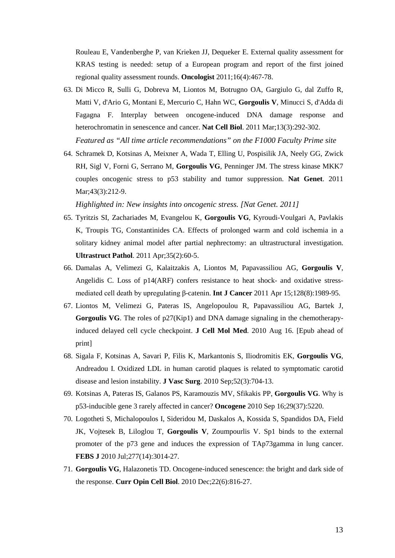Rouleau E, Vandenberghe P, van Krieken JJ, Dequeker E. External quality assessment for KRAS testing is needed: setup of a European program and report of the first joined regional quality assessment rounds. **Oncologist** 2011;16(4):467-78.

- 63. Di Micco R, Sulli G, Dobreva M, Liontos M, Botrugno OA, Gargiulo G, dal Zuffo R, Matti V, d'Ario G, Montani E, Mercurio C, Hahn WC, **Gorgoulis V**, Minucci S, d'Adda di Fagagna F. Interplay between oncogene-induced DNA damage response and heterochromatin in senescence and cancer. **Nat Cell Biol**. 2011 Mar;13(3):292-302. *Featured as "All time article recommendations" on the F1000 Faculty Prime site*
- 64. Schramek D, Kotsinas A, Meixner A, Wada T, Elling U, Pospisilik JA, Neely GG, Zwick RH, Sigl V, Forni G, Serrano M, **Gorgoulis VG**, Penninger JM. The stress kinase MKK7 couples oncogenic stress to p53 stability and tumor suppression. **Nat Genet**. 2011 Mar; 43(3): 212-9.

*Highlighted in: New insights into oncogenic stress. [Nat Genet. 2011]*

- 65. Tyritzis SI, Zachariades M, Evangelou K, **Gorgoulis VG**, Kyroudi-Voulgari A, Pavlakis K, Troupis TG, Constantinides CA. Effects of prolonged warm and cold ischemia in a solitary kidney animal model after partial nephrectomy: an ultrastructural investigation. **Ultrastruct Pathol**. 2011 Apr;35(2):60-5.
- 66. Damalas A, Velimezi G, Kalaitzakis A, Liontos M, Papavassiliou AG, **Gorgoulis V**, Angelidis C. Loss of p14(ARF) confers resistance to heat shock- and oxidative stressmediated cell death by upregulating β-catenin. **Int J Cancer** 2011 Apr 15;128(8):1989-95.
- 67. Liontos M, Velimezi G, Pateras IS, Angelopoulou R, Papavassiliou AG, Bartek J, **Gorgoulis VG**. The roles of p27(Kip1) and DNA damage signaling in the chemotherapyinduced delayed cell cycle checkpoint. **J Cell Mol Med**. 2010 Aug 16. [Epub ahead of print]
- 68. Sigala F, Kotsinas A, Savari P, Filis K, Markantonis S, Iliodromitis EK, **Gorgoulis VG**, Andreadou I. Oxidized LDL in human carotid plaques is related to symptomatic carotid disease and lesion instability. **J Vasc Surg**. 2010 Sep;52(3):704-13.
- 69. Kotsinas A, Pateras IS, Galanos PS, Karamouzis MV, Sfikakis PP, **Gorgoulis VG**. Why is p53-inducible gene 3 rarely affected in cancer? **Oncogene** 2010 Sep 16;29(37):5220.
- 70. Logotheti S, Michalopoulos I, Sideridou M, Daskalos A, Kossida S, Spandidos DA, Field JK, Vojtesek B, Liloglou T, **Gorgoulis V**, Zoumpourlis V. Sp1 binds to the external promoter of the p73 gene and induces the expression of TAp73gamma in lung cancer. **FEBS J** 2010 Jul;277(14):3014-27.
- 71. **Gorgoulis VG**, Halazonetis TD. Oncogene-induced senescence: the bright and dark side of the response. **Curr Opin Cell Biol**. 2010 Dec;22(6):816-27.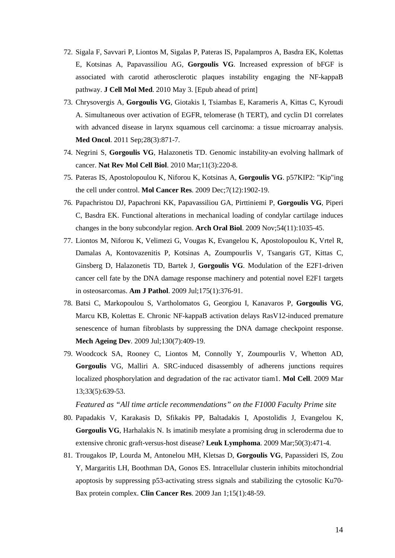- 72. Sigala F, Savvari P, Liontos M, Sigalas P, Pateras IS, Papalampros A, Basdra EK, Kolettas E, Kotsinas A, Papavassiliou AG, **Gorgoulis VG**. Increased expression of bFGF is associated with carotid atherosclerotic plaques instability engaging the NF-kappaB pathway. **J Cell Mol Med**. 2010 May 3. [Epub ahead of print]
- 73. Chrysovergis A, **Gorgoulis VG**, Giotakis I, Tsiambas E, Karameris A, Kittas C, Kyroudi A. Simultaneous over activation of EGFR, telomerase (h TERT), and cyclin D1 correlates with advanced disease in larynx squamous cell carcinoma: a tissue microarray analysis. **Med Oncol**. 2011 Sep;28(3):871-7.
- 74. Negrini S, **Gorgoulis VG**, Halazonetis TD. Genomic instability-an evolving hallmark of cancer. **Nat Rev Mol Cell Biol**. 2010 Mar;11(3):220-8.
- 75. Pateras IS, Apostolopoulou K, Niforou K, Kotsinas A, **Gorgoulis VG**. p57KIP2: "Kip"ing the cell under control. **Mol Cancer Res**. 2009 Dec;7(12):1902-19.
- 76. Papachristou DJ, Papachroni KK, Papavassiliou GA, Pirttiniemi P, **Gorgoulis VG**, Piperi C, Basdra EK. Functional alterations in mechanical loading of condylar cartilage induces changes in the bony subcondylar region. **Arch Oral Biol**. 2009 Nov;54(11):1035-45.
- 77. Liontos M, Niforou K, Velimezi G, Vougas K, Evangelou K, Apostolopoulou K, Vrtel R, Damalas A, Kontovazenitis P, Kotsinas A, Zoumpourlis V, Tsangaris GT, Kittas C, Ginsberg D, Halazonetis TD, Bartek J, **Gorgoulis VG**. Modulation of the E2F1-driven cancer cell fate by the DNA damage response machinery and potential novel E2F1 targets in osteosarcomas. **Am J Pathol**. 2009 Jul;175(1):376-91.
- 78. Batsi C, Markopoulou S, Vartholomatos G, Georgiou I, Kanavaros P, **Gorgoulis VG**, Marcu KB, Kolettas E. Chronic NF-kappaB activation delays RasV12-induced premature senescence of human fibroblasts by suppressing the DNA damage checkpoint response. **Mech Ageing Dev**. 2009 Jul;130(7):409-19.
- 79. Woodcock SA, Rooney C, Liontos M, Connolly Y, Zoumpourlis V, Whetton AD, **Gorgoulis** VG, Malliri A. SRC-induced disassembly of adherens junctions requires localized phosphorylation and degradation of the rac activator tiam1. **Mol Cell**. 2009 Mar 13;33(5):639-53.

- 80. Papadakis V, Karakasis D, Sfikakis PP, Baltadakis I, Apostolidis J, Evangelou K, **Gorgoulis VG**, Harhalakis N. Is imatinib mesylate a promising drug in scleroderma due to extensive chronic graft-versus-host disease? **Leuk Lymphoma**. 2009 Mar;50(3):471-4.
- 81. Trougakos IP, Lourda M, Antonelou MH, Kletsas D, **Gorgoulis VG**, Papassideri IS, Zou Y, Margaritis LH, Boothman DA, Gonos ES. Intracellular clusterin inhibits mitochondrial apoptosis by suppressing p53-activating stress signals and stabilizing the cytosolic Ku70- Bax protein complex. **Clin Cancer Res**. 2009 Jan 1;15(1):48-59.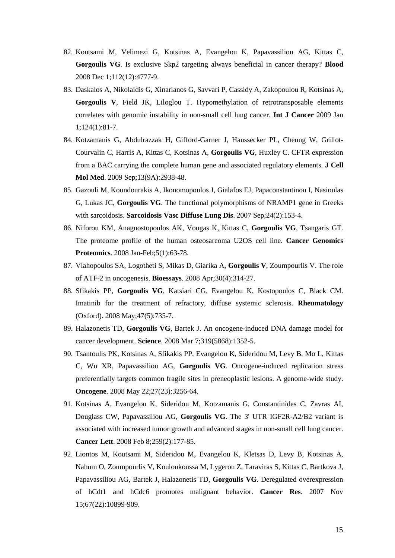- 82. Koutsami M, Velimezi G, Kotsinas A, Evangelou K, Papavassiliou AG, Kittas C, **Gorgoulis VG**. Is exclusive Skp2 targeting always beneficial in cancer therapy? **Blood** 2008 Dec 1;112(12):4777-9.
- 83. Daskalos A, Nikolaidis G, Xinarianos G, Savvari P, Cassidy A, Zakopoulou R, Kotsinas A, **Gorgoulis V**, Field JK, Liloglou T. Hypomethylation of retrotransposable elements correlates with genomic instability in non-small cell lung cancer. **Int J Cancer** 2009 Jan 1;124(1):81-7.
- 84. Kotzamanis G, Abdulrazzak H, Gifford-Garner J, Haussecker PL, Cheung W, Grillot-Courvalin C, Harris A, Kittas C, Kotsinas A, **Gorgoulis VG**, Huxley C. CFTR expression from a BAC carrying the complete human gene and associated regulatory elements. **J Cell Mol Med**. 2009 Sep;13(9A):2938-48.
- 85. Gazouli M, Koundourakis A, Ikonomopoulos J, Gialafos EJ, Papaconstantinou I, Nasioulas G, Lukas JC, **Gorgoulis VG**. The functional polymorphisms of NRAMP1 gene in Greeks with sarcoidosis. **Sarcoidosis Vasc Diffuse Lung Dis**. 2007 Sep;24(2):153-4.
- 86. Niforou KM, Anagnostopoulos AK, Vougas K, Kittas C, **Gorgoulis VG**, Tsangaris GT. The proteome profile of the human osteosarcoma U2OS cell line. **Cancer Genomics Proteomics**. 2008 Jan-Feb;5(1):63-78.
- 87. Vlahopoulos SA, Logotheti S, Mikas D, Giarika A, **Gorgoulis V**, Zoumpourlis V. The role of ATF-2 in oncogenesis. **Bioessays**. 2008 Apr;30(4):314-27.
- 88. Sfikakis PP, **Gorgoulis VG**, Katsiari CG, Evangelou K, Kostopoulos C, Black CM. Imatinib for the treatment of refractory, diffuse systemic sclerosis. **Rheumatology** (Oxford). 2008 May;47(5):735-7.
- 89. Halazonetis TD, **Gorgoulis VG**, Bartek J. An oncogene-induced DNA damage model for cancer development. **Science**. 2008 Mar 7;319(5868):1352-5.
- 90. Tsantoulis PK, Kotsinas A, Sfikakis PP, Evangelou K, Sideridou M, Levy B, Mo L, Kittas C, Wu XR, Papavassiliou AG, **Gorgoulis VG**. Oncogene-induced replication stress preferentially targets common fragile sites in preneoplastic lesions. A genome-wide study. **Oncogene**. 2008 May 22;27(23):3256-64.
- 91. Kotsinas A, Evangelou K, Sideridou M, Kotzamanis G, Constantinides C, Zavras AI, Douglass CW, Papavassiliou AG, **Gorgoulis VG**. The 3' UTR IGF2R-A2/B2 variant is associated with increased tumor growth and advanced stages in non-small cell lung cancer. **Cancer Lett**. 2008 Feb 8;259(2):177-85.
- 92. Liontos M, Koutsami M, Sideridou M, Evangelou K, Kletsas D, Levy B, Kotsinas A, Nahum O, Zoumpourlis V, Kouloukoussa M, Lygerou Z, Taraviras S, Kittas C, Bartkova J, Papavassiliou AG, Bartek J, Halazonetis TD, **Gorgoulis VG**. Deregulated overexpression of hCdt1 and hCdc6 promotes malignant behavior. **Cancer Res**. 2007 Nov 15;67(22):10899-909.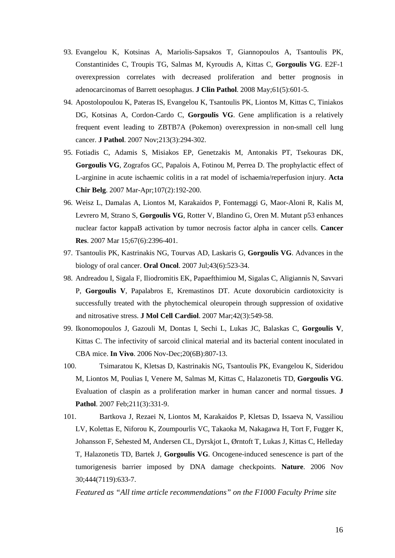- 93. Evangelou K, Kotsinas A, Mariolis-Sapsakos T, Giannopoulos A, Tsantoulis PK, Constantinides C, Troupis TG, Salmas M, Kyroudis A, Kittas C, **Gorgoulis VG**. E2F-1 overexpression correlates with decreased proliferation and better prognosis in adenocarcinomas of Barrett oesophagus. **J Clin Pathol**. 2008 May;61(5):601-5.
- 94. Apostolopoulou K, Pateras IS, Evangelou K, Tsantoulis PK, Liontos M, Kittas C, Tiniakos DG, Kotsinas A, Cordon-Cardo C, **Gorgoulis VG**. Gene amplification is a relatively frequent event leading to ZBTB7A (Pokemon) overexpression in non-small cell lung cancer. **J Pathol**. 2007 Nov;213(3):294-302.
- 95. Fotiadis C, Adamis S, Misiakos EP, Genetzakis M, Antonakis PT, Tsekouras DK, **Gorgoulis VG**, Zografos GC, Papalois A, Fotinou M, Perrea D. The prophylactic effect of L-arginine in acute ischaemic colitis in a rat model of ischaemia/reperfusion injury. **Acta Chir Belg**. 2007 Mar-Apr;107(2):192-200.
- 96. Weisz L, Damalas A, Liontos M, Karakaidos P, Fontemaggi G, Maor-Aloni R, Kalis M, Levrero M, Strano S, **Gorgoulis VG**, Rotter V, Blandino G, Oren M. Mutant p53 enhances nuclear factor kappaB activation by tumor necrosis factor alpha in cancer cells. **Cancer Res**. 2007 Mar 15;67(6):2396-401.
- 97. Tsantoulis PK, Kastrinakis NG, Tourvas AD, Laskaris G, **Gorgoulis VG**. Advances in the biology of oral cancer. **Oral Oncol**. 2007 Jul;43(6):523-34.
- 98. Andreadou I, Sigala F, Iliodromitis EK, Papaefthimiou M, Sigalas C, Aligiannis N, Savvari P, **Gorgoulis V**, Papalabros E, Kremastinos DT. Acute doxorubicin cardiotoxicity is successfully treated with the phytochemical oleuropein through suppression of oxidative and nitrosative stress. **J Mol Cell Cardiol**. 2007 Mar;42(3):549-58.
- 99. Ikonomopoulos J, Gazouli M, Dontas I, Sechi L, Lukas JC, Balaskas C, **Gorgoulis V**, Kittas C. The infectivity of sarcoid clinical material and its bacterial content inoculated in CBA mice. **In Vivo**. 2006 Nov-Dec;20(6B):807-13.
- 100. Tsimaratou K, Kletsas D, Kastrinakis NG, Tsantoulis PK, Evangelou K, Sideridou M, Liontos M, Poulias I, Venere M, Salmas M, Kittas C, Halazonetis TD, **Gorgoulis VG**. Evaluation of claspin as a proliferation marker in human cancer and normal tissues. **J Pathol**. 2007 Feb;211(3):331-9.
- 101. Bartkova J, Rezaei N, Liontos M, Karakaidos P, Kletsas D, Issaeva N, Vassiliou LV, Kolettas E, Niforou K, Zoumpourlis VC, Takaoka M, Nakagawa H, Tort F, Fugger K, Johansson F, Sehested M, Andersen CL, Dyrskjot L, Ørntoft T, Lukas J, Kittas C, Helleday T, Halazonetis TD, Bartek J, **Gorgoulis VG**. Oncogene-induced senescence is part of the tumorigenesis barrier imposed by DNA damage checkpoints. **Nature**. 2006 Nov 30;444(7119):633-7.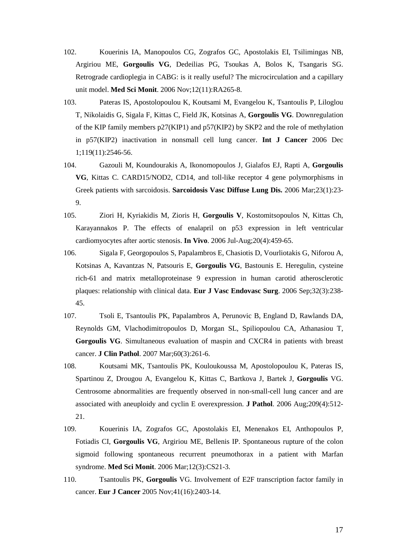- 102. Kouerinis IA, Manopoulos CG, Zografos GC, Apostolakis EI, Tsilimingas NB, Argiriou ME, **Gorgoulis VG**, Dedeilias PG, Tsoukas A, Bolos K, Tsangaris SG. Retrograde cardioplegia in CABG: is it really useful? The microcirculation and a capillary unit model. **Med Sci Monit**. 2006 Nov;12(11):RA265-8.
- 103. Pateras IS, Apostolopoulou K, Koutsami M, Evangelou K, Tsantoulis P, Liloglou T, Nikolaidis G, Sigala F, Kittas C, Field JK, Kotsinas A, **Gorgoulis VG**. Downregulation of the KIP family members p27(KIP1) and p57(KIP2) by SKP2 and the role of methylation in p57(KIP2) inactivation in nonsmall cell lung cancer. **Int J Cancer** 2006 Dec 1;119(11):2546-56.
- 104. Gazouli M, Koundourakis A, Ikonomopoulos J, Gialafos EJ, Rapti A, **Gorgoulis VG**, Kittas C. CARD15/NOD2, CD14, and toll-like receptor 4 gene polymorphisms in Greek patients with sarcoidosis. **Sarcoidosis Vasc Diffuse Lung Dis.** 2006 Mar;23(1):23- 9.
- 105. Ziori H, Kyriakidis M, Zioris H, **Gorgoulis V**, Kostomitsopoulos N, Kittas Ch, Karayannakos P. The effects of enalapril on p53 expression in left ventricular cardiomyocytes after aortic stenosis. **In Vivo**. 2006 Jul-Aug;20(4):459-65.
- 106. Sigala F, Georgopoulos S, Papalambros E, Chasiotis D, Vourliotakis G, Niforou A, Kotsinas A, Kavantzas N, Patsouris E, **Gorgoulis VG**, Bastounis E. Heregulin, cysteine rich-61 and matrix metalloproteinase 9 expression in human carotid atherosclerotic plaques: relationship with clinical data. **Eur J Vasc Endovasc Surg**. 2006 Sep;32(3):238- 45.
- 107. Tsoli E, Tsantoulis PK, Papalambros A, Perunovic B, England D, Rawlands DA, Reynolds GM, Vlachodimitropoulos D, Morgan SL, Spiliopoulou CA, Athanasiou T, **Gorgoulis VG**. Simultaneous evaluation of maspin and CXCR4 in patients with breast cancer. **J Clin Pathol**. 2007 Mar;60(3):261-6.
- 108. Koutsami MK, Tsantoulis PK, Kouloukoussa M, Apostolopoulou K, Pateras IS, Spartinou Z, Drougou A, Evangelou K, Kittas C, Bartkova J, Bartek J, **Gorgoulis** VG. Centrosome abnormalities are frequently observed in non-small-cell lung cancer and are associated with aneuploidy and cyclin E overexpression. **J Pathol**. 2006 Aug;209(4):512- 21.
- 109. Kouerinis IA, Zografos GC, Apostolakis EI, Menenakos EI, Anthopoulos P, Fotiadis CI, **Gorgoulis VG**, Argiriou ME, Bellenis IP. Spontaneous rupture of the colon sigmoid following spontaneous recurrent pneumothorax in a patient with Marfan syndrome. **Med Sci Monit**. 2006 Mar;12(3):CS21-3.
- 110. Tsantoulis PK, **Gorgoulis** VG. Involvement of E2F transcription factor family in cancer. **Eur J Cancer** 2005 Nov;41(16):2403-14.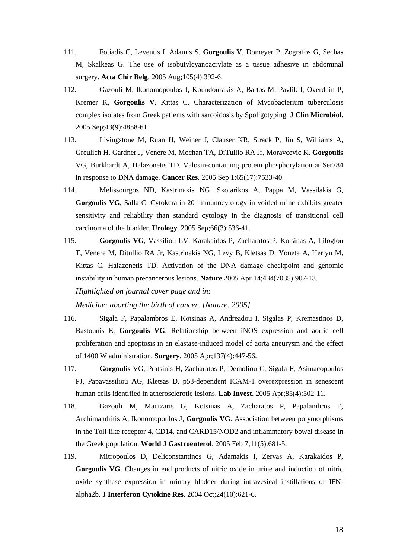- 111. Fotiadis C, Leventis I, Adamis S, **Gorgoulis V**, Domeyer P, Zografos G, Sechas M, Skalkeas G. The use of isobutylcyanoacrylate as a tissue adhesive in abdominal surgery. **Acta Chir Belg**. 2005 Aug;105(4):392-6.
- 112. Gazouli M, Ikonomopoulos J, Koundourakis A, Bartos M, Pavlik I, Overduin P, Kremer K, **Gorgoulis V**, Kittas C. Characterization of Mycobacterium tuberculosis complex isolates from Greek patients with sarcoidosis by Spoligotyping. **J Clin Microbiol**. 2005 Sep;43(9):4858-61.
- 113. Livingstone M, Ruan H, Weiner J, Clauser KR, Strack P, Jin S, Williams A, Greulich H, Gardner J, Venere M, Mochan TA, DiTullio RA Jr, Moravcevic K, **Gorgoulis** VG, Burkhardt A, Halazonetis TD. Valosin-containing protein phosphorylation at Ser784 in response to DNA damage. **Cancer Res**. 2005 Sep 1;65(17):7533-40.
- 114. Melissourgos ND, Kastrinakis NG, Skolarikos A, Pappa M, Vassilakis G, **Gorgoulis VG**, Salla C. Cytokeratin-20 immunocytology in voided urine exhibits greater sensitivity and reliability than standard cytology in the diagnosis of transitional cell carcinoma of the bladder. **Urology**. 2005 Sep;66(3):536-41.
- 115. **Gorgoulis VG**, Vassiliou LV, Karakaidos P, Zacharatos P, Kotsinas A, Liloglou T, Venere M, Ditullio RA Jr, Kastrinakis NG, Levy B, Kletsas D, Yoneta A, Herlyn M, Kittas C, Halazonetis TD. Activation of the DNA damage checkpoint and genomic instability in human precancerous lesions. **Nature** 2005 Apr 14;434(7035):907-13. *Highlighted on journal cover page and in:*

*Medicine: aborting the birth of cancer. [Nature. 2005]*

- 116. Sigala F, Papalambros E, Kotsinas A, Andreadou I, Sigalas P, Kremastinos D, Bastounis E, **Gorgoulis VG**. Relationship between iNOS expression and aortic cell proliferation and apoptosis in an elastase-induced model of aorta aneurysm and the effect of 1400 W administration. **Surgery**. 2005 Apr;137(4):447-56.
- 117. **Gorgoulis** VG, Pratsinis H, Zacharatos P, Demoliou C, Sigala F, Asimacopoulos PJ, Papavassiliou AG, Kletsas D. p53-dependent ICAM-1 overexpression in senescent human cells identified in atherosclerotic lesions. **Lab Invest**. 2005 Apr;85(4):502-11.
- 118. Gazouli M, Mantzaris G, Kotsinas A, Zacharatos P, Papalambros E, Archimandritis A, Ikonomopoulos J, **Gorgoulis VG**. Association between polymorphisms in the Toll-like receptor 4, CD14, and CARD15/NOD2 and inflammatory bowel disease in the Greek population. **World J Gastroenterol**. 2005 Feb 7;11(5):681-5.
- 119. Mitropoulos D, Deliconstantinos G, Adamakis I, Zervas A, Karakaidos P, **Gorgoulis VG**. Changes in end products of nitric oxide in urine and induction of nitric oxide synthase expression in urinary bladder during intravesical instillations of IFNalpha2b. **J Interferon Cytokine Res**. 2004 Oct;24(10):621-6.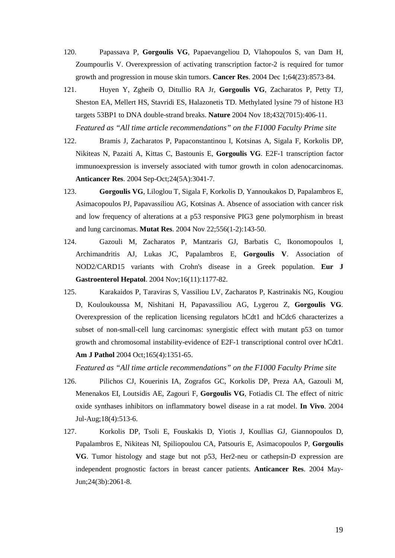- 120. Papassava P, **Gorgoulis VG**, Papaevangeliou D, Vlahopoulos S, van Dam H, Zoumpourlis V. Overexpression of activating transcription factor-2 is required for tumor growth and progression in mouse skin tumors. **Cancer Res**. 2004 Dec 1;64(23):8573-84.
- 121. Huyen Y, Zgheib O, Ditullio RA Jr, **Gorgoulis VG**, Zacharatos P, Petty TJ, Sheston EA, Mellert HS, Stavridi ES, Halazonetis TD. Methylated lysine 79 of histone H3 targets 53BP1 to DNA double-strand breaks. **Nature** 2004 Nov 18;432(7015):406-11. *Featured as "All time article recommendations" on the F1000 Faculty Prime site*
- 122. Bramis J, Zacharatos P, Papaconstantinou I, Kotsinas A, Sigala F, Korkolis DP, Nikiteas N, Pazaiti A, Kittas C, Bastounis E, **Gorgoulis VG**. E2F-1 transcription factor immunoexpression is inversely associated with tumor growth in colon adenocarcinomas. **Anticancer Res**. 2004 Sep-Oct;24(5A):3041-7.
- 123. **Gorgoulis VG**, Liloglou T, Sigala F, Korkolis D, Yannoukakos D, Papalambros E, Asimacopoulos PJ, Papavassiliou AG, Kotsinas A. Absence of association with cancer risk and low frequency of alterations at a p53 responsive PIG3 gene polymorphism in breast and lung carcinomas. **Mutat Res**. 2004 Nov 22;556(1-2):143-50.
- 124. Gazouli M, Zacharatos P, Mantzaris GJ, Barbatis C, Ikonomopoulos I, Archimandritis AJ, Lukas JC, Papalambros E, **Gorgoulis V**. Association of NOD2/CARD15 variants with Crohn's disease in a Greek population. **Eur J Gastroenterol Hepatol**. 2004 Nov;16(11):1177-82.
- 125. Karakaidos P, Taraviras S, Vassiliou LV, Zacharatos P, Kastrinakis NG, Kougiou D, Kouloukoussa M, Nishitani H, Papavassiliou AG, Lygerou Z, **Gorgoulis VG**. Overexpression of the replication licensing regulators hCdt1 and hCdc6 characterizes a subset of non-small-cell lung carcinomas: synergistic effect with mutant p53 on tumor growth and chromosomal instability-evidence of E2F-1 transcriptional control over hCdt1. **Am J Pathol** 2004 Oct;165(4):1351-65.

- 126. Pilichos CJ, Kouerinis IA, Zografos GC, Korkolis DP, Preza AA, Gazouli M, Menenakos EI, Loutsidis AE, Zagouri F, **Gorgoulis VG**, Fotiadis CI. The effect of nitric oxide synthases inhibitors on inflammatory bowel disease in a rat model. **In Vivo**. 2004 Jul-Aug;18(4):513-6.
- 127. Korkolis DP, Tsoli E, Fouskakis D, Yiotis J, Koullias GJ, Giannopoulos D, Papalambros E, Nikiteas NI, Spiliopoulou CA, Patsouris E, Asimacopoulos P, **Gorgoulis VG**. Tumor histology and stage but not p53, Her2-neu or cathepsin-D expression are independent prognostic factors in breast cancer patients. **Anticancer Res**. 2004 May-Jun;24(3b):2061-8.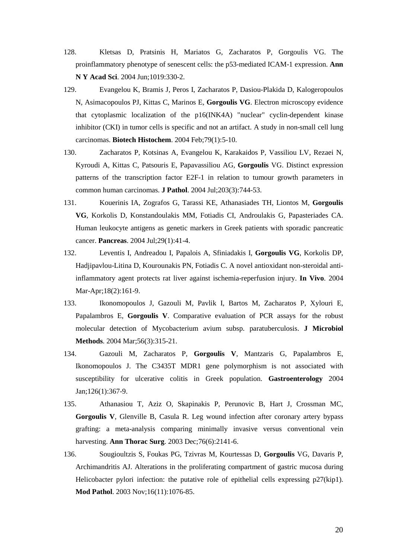- 128. Kletsas D, Pratsinis H, Mariatos G, Zacharatos P, Gorgoulis VG. The proinflammatory phenotype of senescent cells: the p53-mediated ICAM-1 expression. **Ann N Y Acad Sci**. 2004 Jun;1019:330-2.
- 129. Evangelou K, Bramis J, Peros I, Zacharatos P, Dasiou-Plakida D, Kalogeropoulos N, Asimacopoulos PJ, Kittas C, Marinos E, **Gorgoulis VG**. Electron microscopy evidence that cytoplasmic localization of the p16(INK4A) "nuclear" cyclin-dependent kinase inhibitor (CKI) in tumor cells is specific and not an artifact. A study in non-small cell lung carcinomas. **Biotech Histochem**. 2004 Feb;79(1):5-10.
- 130. Zacharatos P, Kotsinas A, Evangelou K, Karakaidos P, Vassiliou LV, Rezaei N, Kyroudi A, Kittas C, Patsouris E, Papavassiliou AG, **Gorgoulis** VG. Distinct expression patterns of the transcription factor E2F-1 in relation to tumour growth parameters in common human carcinomas. **J Pathol**. 2004 Jul;203(3):744-53.
- 131. Kouerinis IA, Zografos G, Tarassi KE, Athanasiades TH, Liontos M, **Gorgoulis VG**, Korkolis D, Konstandoulakis MM, Fotiadis CI, Androulakis G, Papasteriades CA. Human leukocyte antigens as genetic markers in Greek patients with sporadic pancreatic cancer. **Pancreas**. 2004 Jul;29(1):41-4.
- 132. Leventis I, Andreadou I, Papalois A, Sfiniadakis I, **Gorgoulis VG**, Korkolis DP, Hadjipavlou-Litina D, Kourounakis PN, Fotiadis C. A novel antioxidant non-steroidal antiinflammatory agent protects rat liver against ischemia-reperfusion injury. **In Vivo**. 2004 Mar-Apr;18(2):161-9.
- 133. Ikonomopoulos J, Gazouli M, Pavlik I, Bartos M, Zacharatos P, Xylouri E, Papalambros E, **Gorgoulis V**. Comparative evaluation of PCR assays for the robust molecular detection of Mycobacterium avium subsp. paratuberculosis. **J Microbiol Methods**. 2004 Mar;56(3):315-21.
- 134. Gazouli M, Zacharatos P, **Gorgoulis V**, Mantzaris G, Papalambros E, Ikonomopoulos J. The C3435T MDR1 gene polymorphism is not associated with susceptibility for ulcerative colitis in Greek population. **Gastroenterology** 2004 Jan;126(1):367-9.
- 135. Athanasiou T, Aziz O, Skapinakis P, Perunovic B, Hart J, Crossman MC, **Gorgoulis V**, Glenville B, Casula R. Leg wound infection after coronary artery bypass grafting: a meta-analysis comparing minimally invasive versus conventional vein harvesting. **Ann Thorac Surg**. 2003 Dec;76(6):2141-6.
- 136. Sougioultzis S, Foukas PG, Tzivras M, Kourtessas D, **Gorgoulis** VG, Davaris P, Archimandritis AJ. Alterations in the proliferating compartment of gastric mucosa during Helicobacter pylori infection: the putative role of epithelial cells expressing p27(kip1). **Mod Pathol**. 2003 Nov;16(11):1076-85.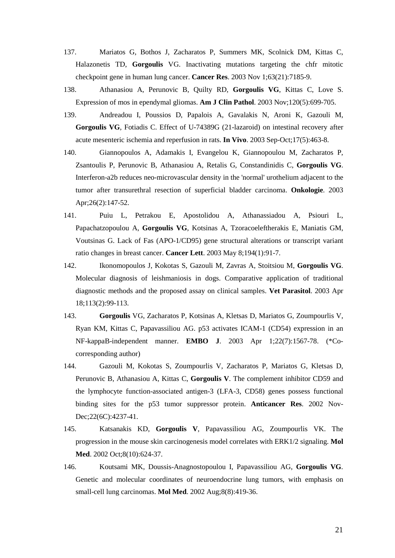- 137. Mariatos G, Bothos J, Zacharatos P, Summers MK, Scolnick DM, Kittas C, Halazonetis TD, **Gorgoulis** VG. Inactivating mutations targeting the chfr mitotic checkpoint gene in human lung cancer. **Cancer Res**. 2003 Nov 1;63(21):7185-9.
- 138. Athanasiou A, Perunovic B, Quilty RD, **Gorgoulis VG**, Kittas C, Love S. Expression of mos in ependymal gliomas. **Am J Clin Pathol**. 2003 Nov;120(5):699-705.
- 139. Andreadou I, Poussios D, Papalois A, Gavalakis N, Aroni K, Gazouli M, **Gorgoulis VG**, Fotiadis C. Effect of U-74389G (21-lazaroid) on intestinal recovery after acute mesenteric ischemia and reperfusion in rats. **In Vivo**. 2003 Sep-Oct;17(5):463-8.
- 140. Giannopoulos A, Adamakis I, Evangelou K, Giannopoulou M, Zacharatos P, Zsantoulis P, Perunovic B, Athanasiou A, Retalis G, Constandinidis C, **Gorgoulis VG**. Interferon-a2b reduces neo-microvascular density in the 'normal' urothelium adjacent to the tumor after transurethral resection of superficial bladder carcinoma. **Onkologie**. 2003 Apr;26(2):147-52.
- 141. Puiu L, Petrakou E, Apostolidou A, Athanassiadou A, Psiouri L, Papachatzopoulou A, **Gorgoulis VG**, Kotsinas A, Tzoracoeleftherakis E, Maniatis GM, Voutsinas G. Lack of Fas (APO-1/CD95) gene structural alterations or transcript variant ratio changes in breast cancer. **Cancer Lett**. 2003 May 8;194(1):91-7.
- 142. Ikonomopoulos J, Kokotas S, Gazouli M, Zavras A, Stoitsiou M, **Gorgoulis VG**. Molecular diagnosis of leishmaniosis in dogs. Comparative application of traditional diagnostic methods and the proposed assay on clinical samples. **Vet Parasitol**. 2003 Apr 18;113(2):99-113.
- 143. **Gorgoulis** VG, Zacharatos P, Kotsinas A, Kletsas D, Mariatos G, Zoumpourlis V, Ryan KM, Kittas C, Papavassiliou AG. p53 activates ICAM-1 (CD54) expression in an NF-kappaB-independent manner. **EMBO J**. 2003 Apr 1;22(7):1567-78. (\*Cocorresponding author)
- 144. Gazouli M, Kokotas S, Zoumpourlis V, Zacharatos P, Mariatos G, Kletsas D, Perunovic B, Athanasiou A, Kittas C, **Gorgoulis V**. The complement inhibitor CD59 and the lymphocyte function-associated antigen-3 (LFA-3, CD58) genes possess functional binding sites for the p53 tumor suppressor protein. **Anticancer Res**. 2002 Nov-Dec;22(6C):4237-41.
- 145. Katsanakis KD, **Gorgoulis V**, Papavassiliou AG, Zoumpourlis VK. The progression in the mouse skin carcinogenesis model correlates with ERK1/2 signaling. **Mol Med**. 2002 Oct;8(10):624-37.
- 146. Koutsami MK, Doussis-Anagnostopoulou I, Papavassiliou AG, **Gorgoulis VG**. Genetic and molecular coordinates of neuroendocrine lung tumors, with emphasis on small-cell lung carcinomas. **Mol Med**. 2002 Aug;8(8):419-36.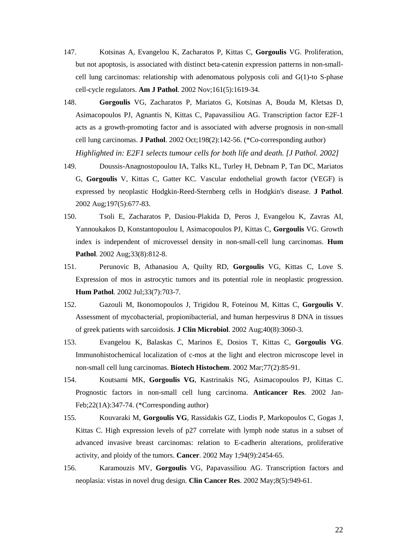- 147. Kotsinas A, Evangelou K, Zacharatos P, Kittas C, **Gorgoulis** VG. Proliferation, but not apoptosis, is associated with distinct beta-catenin expression patterns in non-smallcell lung carcinomas: relationship with adenomatous polyposis coli and G(1)-to S-phase cell-cycle regulators. **Am J Pathol**. 2002 Nov;161(5):1619-34.
- 148. **Gorgoulis** VG, Zacharatos P, Mariatos G, Kotsinas A, Bouda M, Kletsas D, Asimacopoulos PJ, Agnantis N, Kittas C, Papavassiliou AG. Transcription factor E2F-1 acts as a growth-promoting factor and is associated with adverse prognosis in non-small cell lung carcinomas. **J Pathol**. 2002 Oct;198(2):142-56. (\*Co-corresponding author) *Highlighted in: E2F1 selects tumour cells for both life and death. [J Pathol. 2002]*
- 149. Doussis-Anagnostopoulou IA, Talks KL, Turley H, Debnam P, Tan DC, Mariatos G, **Gorgoulis** V, Kittas C, Gatter KC. Vascular endothelial growth factor (VEGF) is expressed by neoplastic Hodgkin-Reed-Sternberg cells in Hodgkin's disease. **J Pathol**. 2002 Aug;197(5):677-83.
- 150. Tsoli E, Zacharatos P, Dasiou-Plakida D, Peros J, Evangelou K, Zavras AI, Yannoukakos D, Konstantopoulou I, Asimacopoulos PJ, Kittas C, **Gorgoulis** VG. Growth index is independent of microvessel density in non-small-cell lung carcinomas. **Hum Pathol**. 2002 Aug;33(8):812-8.
- 151. Perunovic B, Athanasiou A, Quilty RD, **Gorgoulis** VG, Kittas C, Love S. Expression of mos in astrocytic tumors and its potential role in neoplastic progression. **Hum Pathol**. 2002 Jul;33(7):703-7.
- 152. Gazouli M, Ikonomopoulos J, Trigidou R, Foteinou M, Kittas C, **Gorgoulis V**. Assessment of mycobacterial, propionibacterial, and human herpesvirus 8 DNA in tissues of greek patients with sarcoidosis. **J Clin Microbiol**. 2002 Aug;40(8):3060-3.
- 153. Evangelou K, Balaskas C, Marinos E, Dosios T, Kittas C, **Gorgoulis VG**. Immunohistochemical localization of c-mos at the light and electron microscope level in non-small cell lung carcinomas. **Biotech Histochem**. 2002 Mar;77(2):85-91.
- 154. Koutsami MK, **Gorgoulis VG**, Kastrinakis NG, Asimacopoulos PJ, Kittas C. Prognostic factors in non-small cell lung carcinoma. **Anticancer Res**. 2002 Jan-Feb;22(1A):347-74. (\*Corresponding author)
- 155. Kouvaraki M, **Gorgoulis VG**, Rassidakis GZ, Liodis P, Markopoulos C, Gogas J, Kittas C. High expression levels of p27 correlate with lymph node status in a subset of advanced invasive breast carcinomas: relation to E-cadherin alterations, proliferative activity, and ploidy of the tumors. **Cancer**. 2002 May 1;94(9):2454-65.
- 156. Karamouzis MV, **Gorgoulis** VG, Papavassiliou AG. Transcription factors and neoplasia: vistas in novel drug design. **Clin Cancer Res**. 2002 May;8(5):949-61.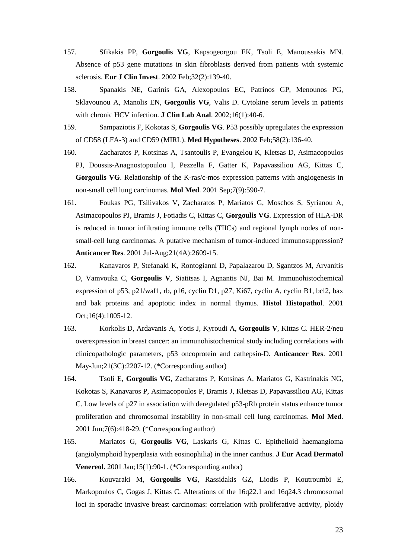- 157. Sfikakis PP, **Gorgoulis VG**, Kapsogeorgou EK, Tsoli E, Manoussakis MN. Absence of p53 gene mutations in skin fibroblasts derived from patients with systemic sclerosis. **Eur J Clin Invest**. 2002 Feb;32(2):139-40.
- 158. Spanakis NE, Garinis GA, Alexopoulos EC, Patrinos GP, Menounos PG, Sklavounou A, Manolis EN, **Gorgoulis VG**, Valis D. Cytokine serum levels in patients with chronic HCV infection. **J Clin Lab Anal**. 2002;16(1):40-6.
- 159. Sampaziotis F, Kokotas S, **Gorgoulis VG**. P53 possibly upregulates the expression of CD58 (LFA-3) and CD59 (MIRL). **Med Hypotheses**. 2002 Feb;58(2):136-40.
- 160. Zacharatos P, Kotsinas A, Tsantoulis P, Evangelou K, Kletsas D, Asimacopoulos PJ, Doussis-Anagnostopoulou I, Pezzella F, Gatter K, Papavassiliou AG, Kittas C, **Gorgoulis VG**. Relationship of the K-ras/c-mos expression patterns with angiogenesis in non-small cell lung carcinomas. **Mol Med**. 2001 Sep;7(9):590-7.
- 161. Foukas PG, Tsilivakos V, Zacharatos P, Mariatos G, Moschos S, Syrianou A, Asimacopoulos PJ, Bramis J, Fotiadis C, Kittas C, **Gorgoulis VG**. Expression of HLA-DR is reduced in tumor infiltrating immune cells (TIICs) and regional lymph nodes of nonsmall-cell lung carcinomas. A putative mechanism of tumor-induced immunosuppression? **Anticancer Res**. 2001 Jul-Aug;21(4A):2609-15.
- 162. Kanavaros P, Stefanaki K, Rontogianni D, Papalazarou D, Sgantzos M, Arvanitis D, Vamvouka C, **Gorgoulis V**, Siatitsas I, Agnantis NJ, Bai M. Immunohistochemical expression of p53, p21/waf1, rb, p16, cyclin D1, p27, Ki67, cyclin A, cyclin B1, bcl2, bax and bak proteins and apoptotic index in normal thymus. **Histol Histopathol**. 2001 Oct;16(4):1005-12.
- 163. Korkolis D, Ardavanis A, Yotis J, Kyroudi A, **Gorgoulis V**, Kittas C. HER-2/neu overexpression in breast cancer: an immunohistochemical study including correlations with clinicopathologic parameters, p53 oncoprotein and cathepsin-D. **Anticancer Res**. 2001 May-Jun;21(3C):2207-12. (\*Corresponding author)
- 164. Tsoli E, **Gorgoulis VG**, Zacharatos P, Kotsinas A, Mariatos G, Kastrinakis NG, Kokotas S, Kanavaros P, Asimacopoulos P, Bramis J, Kletsas D, Papavassiliou AG, Kittas C. Low levels of p27 in association with deregulated p53-pRb protein status enhance tumor proliferation and chromosomal instability in non-small cell lung carcinomas. **Mol Med**. 2001 Jun;7(6):418-29. (\*Corresponding author)
- 165. Mariatos G, **Gorgoulis VG**, Laskaris G, Kittas C. Epithelioid haemangioma (angiolymphoid hyperplasia with eosinophilia) in the inner canthus. **J Eur Acad Dermatol Venereol.** 2001 Jan;15(1):90-1. (\*Corresponding author)
- 166. Kouvaraki M, **Gorgoulis VG**, Rassidakis GZ, Liodis P, Koutroumbi E, Markopoulos C, Gogas J, Kittas C. Alterations of the 16q22.1 and 16q24.3 chromosomal loci in sporadic invasive breast carcinomas: correlation with proliferative activity, ploidy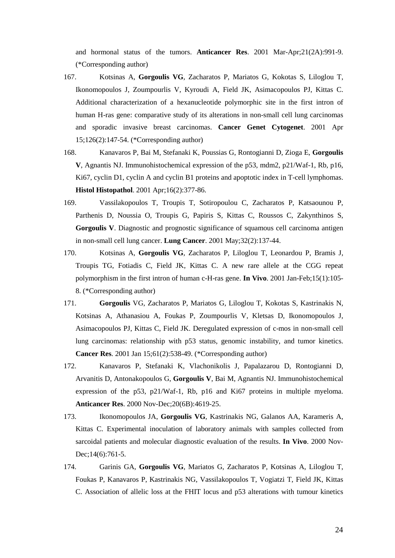and hormonal status of the tumors. **Anticancer Res**. 2001 Mar-Apr;21(2A):991-9. (\*Corresponding author)

- 167. Kotsinas A, **Gorgoulis VG**, Zacharatos P, Mariatos G, Kokotas S, Liloglou T, Ikonomopoulos J, Zoumpourlis V, Kyroudi A, Field JK, Asimacopoulos PJ, Kittas C. Additional characterization of a hexanucleotide polymorphic site in the first intron of human H-ras gene: comparative study of its alterations in non-small cell lung carcinomas and sporadic invasive breast carcinomas. **Cancer Genet Cytogenet**. 2001 Apr 15;126(2):147-54. (\*Corresponding author)
- 168. Kanavaros P, Bai M, Stefanaki K, Poussias G, Rontogianni D, Zioga E, **Gorgoulis V**, Agnantis NJ. Immunohistochemical expression of the p53, mdm2, p21/Waf-1, Rb, p16, Ki67, cyclin D1, cyclin A and cyclin B1 proteins and apoptotic index in T-cell lymphomas. **Histol Histopathol**. 2001 Apr;16(2):377-86.
- 169. Vassilakopoulos T, Troupis T, Sotiropoulou C, Zacharatos P, Katsaounou P, Parthenis D, Noussia O, Troupis G, Papiris S, Kittas C, Roussos C, Zakynthinos S, **Gorgoulis V**. Diagnostic and prognostic significance of squamous cell carcinoma antigen in non-small cell lung cancer. **Lung Cancer**. 2001 May;32(2):137-44.
- 170. Kotsinas A, **Gorgoulis VG**, Zacharatos P, Liloglou T, Leonardou P, Bramis J, Troupis TG, Fotiadis C, Field JK, Kittas C. A new rare allele at the CGG repeat polymorphism in the first intron of human c-H-ras gene. **In Vivo**. 2001 Jan-Feb;15(1):105- 8. (\*Corresponding author)
- 171. **Gorgoulis** VG, Zacharatos P, Mariatos G, Liloglou T, Kokotas S, Kastrinakis N, Kotsinas A, Athanasiou A, Foukas P, Zoumpourlis V, Kletsas D, Ikonomopoulos J, Asimacopoulos PJ, Kittas C, Field JK. Deregulated expression of c-mos in non-small cell lung carcinomas: relationship with p53 status, genomic instability, and tumor kinetics. **Cancer Res**. 2001 Jan 15;61(2):538-49. (\*Corresponding author)
- 172. Kanavaros P, Stefanaki K, Vlachonikolis J, Papalazarou D, Rontogianni D, Arvanitis D, Antonakopoulos G, **Gorgoulis V**, Bai M, Agnantis NJ. Immunohistochemical expression of the p53, p21/Waf-1, Rb, p16 and Ki67 proteins in multiple myeloma. **Anticancer Res**. 2000 Nov-Dec;20(6B):4619-25.
- 173. Ikonomopoulos JA, **Gorgoulis VG**, Kastrinakis NG, Galanos AA, Karameris A, Kittas C. Experimental inoculation of laboratory animals with samples collected from sarcoidal patients and molecular diagnostic evaluation of the results. **In Vivo**. 2000 Nov-Dec;14(6):761-5.
- 174. Garinis GA, **Gorgoulis VG**, Mariatos G, Zacharatos P, Kotsinas A, Liloglou T, Foukas P, Kanavaros P, Kastrinakis NG, Vassilakopoulos T, Vogiatzi T, Field JK, Kittas C. Association of allelic loss at the FHIT locus and p53 alterations with tumour kinetics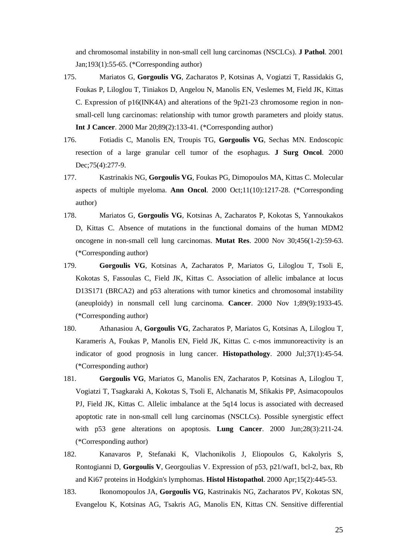and chromosomal instability in non-small cell lung carcinomas (NSCLCs). **J Pathol**. 2001 Jan;193(1):55-65. (\*Corresponding author)

- 175. Mariatos G, **Gorgoulis VG**, Zacharatos P, Kotsinas A, Vogiatzi T, Rassidakis G, Foukas P, Liloglou T, Tiniakos D, Angelou N, Manolis EN, Veslemes M, Field JK, Kittas C. Expression of p16(INK4A) and alterations of the 9p21-23 chromosome region in nonsmall-cell lung carcinomas: relationship with tumor growth parameters and ploidy status. **Int J Cancer**. 2000 Mar 20;89(2):133-41. (\*Corresponding author)
- 176. Fotiadis C, Manolis EN, Troupis TG, **Gorgoulis VG**, Sechas MN. Endoscopic resection of a large granular cell tumor of the esophagus. **J Surg Oncol**. 2000 Dec; 75(4): 277-9.
- 177. Kastrinakis NG, **Gorgoulis VG**, Foukas PG, Dimopoulos MA, Kittas C. Molecular aspects of multiple myeloma. **Ann Oncol**. 2000 Oct;11(10):1217-28. (\*Corresponding author)
- 178. Mariatos G, **Gorgoulis VG**, Kotsinas A, Zacharatos P, Kokotas S, Yannoukakos D, Kittas C. Absence of mutations in the functional domains of the human MDM2 oncogene in non-small cell lung carcinomas. **Mutat Res**. 2000 Nov 30;456(1-2):59-63. (\*Corresponding author)
- 179. **Gorgoulis VG**, Kotsinas A, Zacharatos P, Mariatos G, Liloglou T, Tsoli E, Kokotas S, Fassoulas C, Field JK, Kittas C. Association of allelic imbalance at locus D13S171 (BRCA2) and p53 alterations with tumor kinetics and chromosomal instability (aneuploidy) in nonsmall cell lung carcinoma. **Cancer**. 2000 Nov 1;89(9):1933-45. (\*Corresponding author)
- 180. Athanasiou A, **Gorgoulis VG**, Zacharatos P, Mariatos G, Kotsinas A, Liloglou T, Karameris A, Foukas P, Manolis EN, Field JK, Kittas C. c-mos immunoreactivity is an indicator of good prognosis in lung cancer. **Histopathology**. 2000 Jul;37(1):45-54. (\*Corresponding author)
- 181. **Gorgoulis VG**, Mariatos G, Manolis EN, Zacharatos P, Kotsinas A, Liloglou T, Vogiatzi T, Tsagkaraki A, Kokotas S, Tsoli E, Alchanatis M, Sfikakis PP, Asimacopoulos PJ, Field JK, Kittas C. Allelic imbalance at the 5q14 locus is associated with decreased apoptotic rate in non-small cell lung carcinomas (NSCLCs). Possible synergistic effect with p53 gene alterations on apoptosis. **Lung Cancer**. 2000 Jun;28(3):211-24. (\*Corresponding author)
- 182. Kanavaros P, Stefanaki K, Vlachonikolis J, Eliopoulos G, Kakolyris S, Rontogianni D, **Gorgoulis V**, Georgoulias V. Expression of p53, p21/waf1, bcl-2, bax, Rb and Ki67 proteins in Hodgkin's lymphomas. **Histol Histopathol**. 2000 Apr;15(2):445-53.
- 183. Ikonomopoulos JA, **Gorgoulis VG**, Kastrinakis NG, Zacharatos PV, Kokotas SN, Evangelou K, Kotsinas AG, Tsakris AG, Manolis EN, Kittas CN. Sensitive differential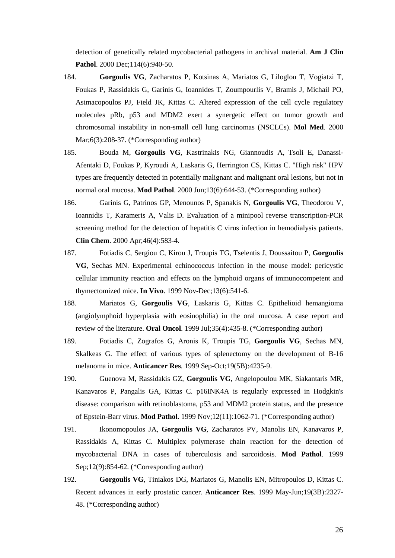detection of genetically related mycobacterial pathogens in archival material. **Am J Clin Pathol**. 2000 Dec; 114(6): 940-50.

- 184. **Gorgoulis VG**, Zacharatos P, Kotsinas A, Mariatos G, Liloglou T, Vogiatzi T, Foukas P, Rassidakis G, Garinis G, Ioannides T, Zoumpourlis V, Bramis J, Michail PO, Asimacopoulos PJ, Field JK, Kittas C. Altered expression of the cell cycle regulatory molecules pRb, p53 and MDM2 exert a synergetic effect on tumor growth and chromosomal instability in non-small cell lung carcinomas (NSCLCs). **Mol Med**. 2000 Mar;6(3):208-37. (\*Corresponding author)
- 185. Bouda M, **Gorgoulis VG**, Kastrinakis NG, Giannoudis A, Tsoli E, Danassi-Afentaki D, Foukas P, Kyroudi A, Laskaris G, Herrington CS, Kittas C. "High risk" HPV types are frequently detected in potentially malignant and malignant oral lesions, but not in normal oral mucosa. **Mod Pathol**. 2000 Jun;13(6):644-53. (\*Corresponding author)
- 186. Garinis G, Patrinos GP, Menounos P, Spanakis N, **Gorgoulis VG**, Theodorou V, Ioannidis T, Karameris A, Valis D. Evaluation of a minipool reverse transcription-PCR screening method for the detection of hepatitis C virus infection in hemodialysis patients. **Clin Chem**. 2000 Apr;46(4):583-4.
- 187. Fotiadis C, Sergiou C, Kirou J, Troupis TG, Tselentis J, Doussaitou P, **Gorgoulis VG**, Sechas MN. Experimental echinococcus infection in the mouse model: pericystic cellular immunity reaction and effects on the lymphoid organs of immunocompetent and thymectomized mice. **In Vivo**. 1999 Nov-Dec;13(6):541-6.
- 188. Mariatos G, **Gorgoulis VG**, Laskaris G, Kittas C. Epithelioid hemangioma (angiolymphoid hyperplasia with eosinophilia) in the oral mucosa. A case report and review of the literature. **Oral Oncol**. 1999 Jul;35(4):435-8. (\*Corresponding author)
- 189. Fotiadis C, Zografos G, Aronis K, Troupis TG, **Gorgoulis VG**, Sechas MN, Skalkeas G. The effect of various types of splenectomy on the development of B-16 melanoma in mice. **Anticancer Res**. 1999 Sep-Oct;19(5B):4235-9.
- 190. Guenova M, Rassidakis GZ, **Gorgoulis VG**, Angelopoulou MK, Siakantaris MR, Kanavaros P, Pangalis GA, Kittas C. p16INK4A is regularly expressed in Hodgkin's disease: comparison with retinoblastoma, p53 and MDM2 protein status, and the presence of Epstein-Barr virus. **Mod Pathol**. 1999 Nov;12(11):1062-71. (\*Corresponding author)
- 191. Ikonomopoulos JA, **Gorgoulis VG**, Zacharatos PV, Manolis EN, Kanavaros P, Rassidakis A, Kittas C. Multiplex polymerase chain reaction for the detection of mycobacterial DNA in cases of tuberculosis and sarcoidosis. **Mod Pathol**. 1999 Sep;12(9):854-62. (\*Corresponding author)
- 192. **Gorgoulis VG**, Tiniakos DG, Mariatos G, Manolis EN, Mitropoulos D, Kittas C. Recent advances in early prostatic cancer. **Anticancer Res**. 1999 May-Jun;19(3B):2327- 48. (\*Corresponding author)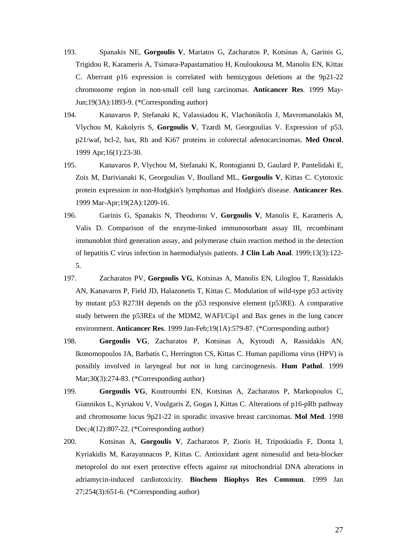- 193. Spanakis NE, **Gorgoulis V**, Mariatos G, Zacharatos P, Kotsinas A, Garinis G, Trigidou R, Karameris A, Tsimara-Papastamatiou H, Kouloukousa M, Manolis EN, Kittas C. Aberrant p16 expression is correlated with hemizygous deletions at the 9p21-22 chromosome region in non-small cell lung carcinomas. **Anticancer Res**. 1999 May-Jun;19(3A):1893-9. (\*Corresponding author)
- 194. Kanavaros P, Stefanaki K, Valassiadou K, Vlachonikolis J, Mavromanolakis M, Vlychou M, Kakolyris S, **Gorgoulis V**, Tzardi M, Georgoulias V. Expression of p53, p21/waf, bcl-2, bax, Rb and Ki67 proteins in colorectal adenocarcinomas. **Med Oncol**. 1999 Apr;16(1):23-30.
- 195. Kanavaros P, Vlychou M, Stefanaki K, Rontogianni D, Gaulard P, Pantelidaki E, Zois M, Darivianaki K, Georgoulias V, Boulland ML, **Gorgoulis V**, Kittas C. Cytotoxic protein expression in non-Hodgkin's lymphomas and Hodgkin's disease. **Anticancer Res**. 1999 Mar-Apr;19(2A):1209-16.
- 196. Garinis G, Spanakis N, Theodorou V, **Gorgoulis V**, Manolis E, Karameris A, Valis D. Comparison of the enzyme-linked immunosorbant assay III, recombinant immunoblot third generation assay, and polymerase chain reaction method in the detection of hepatitis C virus infection in haemodialysis patients. **J Clin Lab Anal**. 1999;13(3):122- 5.
- 197. Zacharatos PV, **Gorgoulis VG**, Kotsinas A, Manolis EN, Liloglou T, Rassidakis AN, Kanavaros P, Field JD, Halazonetis T, Kittas C. Modulation of wild-type p53 activity by mutant p53 R273H depends on the p53 responsive element (p53RE). A comparative study between the p53REs of the MDM2, WAFI/Cip1 and Bax genes in the lung cancer environment. **Anticancer Res**. 1999 Jan-Feb;19(1A):579-87. (\*Corresponding author)
- 198. **Gorgoulis VG**, Zacharatos P, Kotsinas A, Kyroudi A, Rassidakis AN, Ikonomopoulos JA, Barbatis C, Herrington CS, Kittas C. Human papilloma virus (HPV) is possibly involved in laryngeal but not in lung carcinogenesis. **Hum Pathol**. 1999 Mar;30(3):274-83. (\*Corresponding author)
- 199. **Gorgoulis VG**, Koutroumbi EN, Kotsinas A, Zacharatos P, Markopoulos C, Giannikos L, Kyriakou V, Voulgaris Z, Gogas I, Kittas C. Alterations of p16-pRb pathway and chromosome locus 9p21-22 in sporadic invasive breast carcinomas. **Mol Med**. 1998 Dec;4(12):807-22. (\*Corresponding author)
- 200. Kotsinas A, **Gorgoulis V**, Zacharatos P, Zioris H, Triposkiadis F, Donta I, Kyriakidis M, Karayannacos P, Kittas C. Antioxidant agent nimesulid and beta-blocker metoprolol do not exert protective effects against rat mitochondrial DNA alterations in adriamycin-induced cardiotoxicity. **Biochem Biophys Res Commun**. 1999 Jan 27;254(3):651-6. (\*Corresponding author)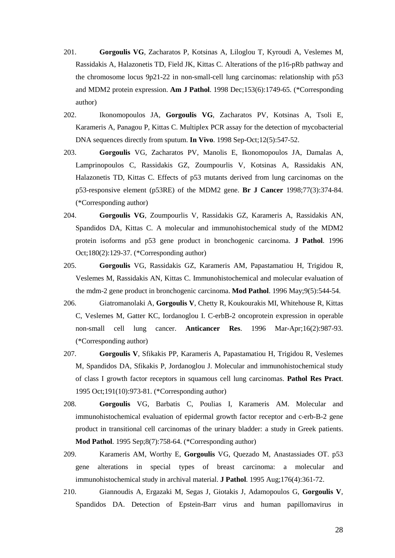- 201. **Gorgoulis VG**, Zacharatos P, Kotsinas A, Liloglou T, Kyroudi A, Veslemes M, Rassidakis A, Halazonetis TD, Field JK, Kittas C. Alterations of the p16-pRb pathway and the chromosome locus 9p21-22 in non-small-cell lung carcinomas: relationship with p53 and MDM2 protein expression. **Am J Pathol**. 1998 Dec;153(6):1749-65. (\*Corresponding author)
- 202. Ikonomopoulos JA, **Gorgoulis VG**, Zacharatos PV, Kotsinas A, Tsoli E, Karameris A, Panagou P, Kittas C. Multiplex PCR assay for the detection of mycobacterial DNA sequences directly from sputum. **In Vivo**. 1998 Sep-Oct;12(5):547-52.
- 203. **Gorgoulis** VG, Zacharatos PV, Manolis E, Ikonomopoulos JA, Damalas A, Lamprinopoulos C, Rassidakis GZ, Zoumpourlis V, Kotsinas A, Rassidakis AN, Halazonetis TD, Kittas C. Effects of p53 mutants derived from lung carcinomas on the p53-responsive element (p53RE) of the MDM2 gene. **Br J Cancer** 1998;77(3):374-84. (\*Corresponding author)
- 204. **Gorgoulis VG**, Zoumpourlis V, Rassidakis GZ, Karameris A, Rassidakis AN, Spandidos DA, Kittas C. A molecular and immunohistochemical study of the MDM2 protein isoforms and p53 gene product in bronchogenic carcinoma. **J Pathol**. 1996 Oct;180(2):129-37. (\*Corresponding author)
- 205. **Gorgoulis** VG, Rassidakis GZ, Karameris AM, Papastamatiou H, Trigidou R, Veslemes M, Rassidakis AN, Kittas C. Immunohistochemical and molecular evaluation of the mdm-2 gene product in bronchogenic carcinoma. **Mod Pathol**. 1996 May;9(5):544-54.
- 206. Giatromanolaki A, **Gorgoulis V**, Chetty R, Koukourakis MI, Whitehouse R, Kittas C, Veslemes M, Gatter KC, Iordanoglou I. C-erbB-2 oncoprotein expression in operable non-small cell lung cancer. **Anticancer Res**. 1996 Mar-Apr;16(2):987-93. (\*Corresponding author)
- 207. **Gorgoulis V**, Sfikakis PP, Karameris A, Papastamatiou H, Trigidou R, Veslemes M, Spandidos DA, Sfikakis P, Jordanoglou J. Molecular and immunohistochemical study of class I growth factor receptors in squamous cell lung carcinomas. **Pathol Res Pract**. 1995 Oct;191(10):973-81. (\*Corresponding author)
- 208. **Gorgoulis** VG, Barbatis C, Poulias I, Karameris AM. Molecular and immunohistochemical evaluation of epidermal growth factor receptor and c-erb-B-2 gene product in transitional cell carcinomas of the urinary bladder: a study in Greek patients. **Mod Pathol**. 1995 Sep;8(7):758-64. (\*Corresponding author)
- 209. Karameris AM, Worthy E, **Gorgoulis** VG, Quezado M, Anastassiades OT. p53 gene alterations in special types of breast carcinoma: a molecular and immunohistochemical study in archival material. **J Pathol**. 1995 Aug;176(4):361-72.
- 210. Giannoudis A, Ergazaki M, Segas J, Giotakis J, Adamopoulos G, **Gorgoulis V**, Spandidos DA. Detection of Epstein-Barr virus and human papillomavirus in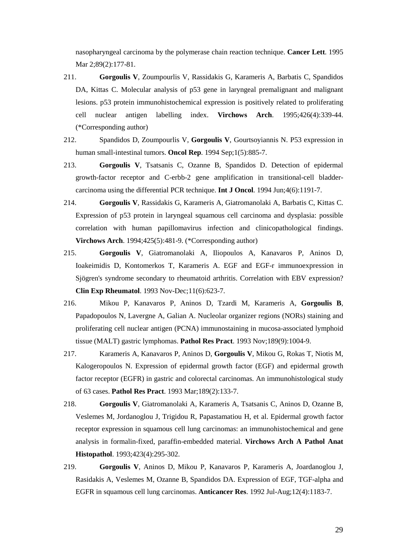nasopharyngeal carcinoma by the polymerase chain reaction technique. **Cancer Lett**. 1995 Mar 2;89(2):177-81.

- 211. **Gorgoulis V**, Zoumpourlis V, Rassidakis G, Karameris A, Barbatis C, Spandidos DA, Kittas C. Molecular analysis of p53 gene in laryngeal premalignant and malignant lesions. p53 protein immunohistochemical expression is positively related to proliferating cell nuclear antigen labelling index. **Virchows Arch**. 1995;426(4):339-44. (\*Corresponding author)
- 212. Spandidos D, Zoumpourlis V, **Gorgoulis V**, Gourtsoyiannis N. P53 expression in human small-intestinal tumors. **Oncol Rep**. 1994 Sep;1(5):885-7.
- 213. **Gorgoulis V**, Tsatsanis C, Ozanne B, Spandidos D. Detection of epidermal growth-factor receptor and C-erbb-2 gene amplification in transitional-cell bladdercarcinoma using the differential PCR technique. **Int J Oncol**. 1994 Jun;4(6):1191-7.
- 214. **Gorgoulis V**, Rassidakis G, Karameris A, Giatromanolaki A, Barbatis C, Kittas C. Expression of p53 protein in laryngeal squamous cell carcinoma and dysplasia: possible correlation with human papillomavirus infection and clinicopathological findings. **Virchows Arch**. 1994;425(5):481-9. (\*Corresponding author)
- 215. **Gorgoulis V**, Giatromanolaki A, Iliopoulos A, Kanavaros P, Aninos D, Ioakeimidis D, Kontomerkos T, Karameris A. EGF and EGF-r immunoexpression in Sjögren's syndrome secondary to rheumatoid arthritis. Correlation with EBV expression? **Clin Exp Rheumatol**. 1993 Nov-Dec;11(6):623-7.
- 216. Mikou P, Kanavaros P, Aninos D, Tzardi M, Karameris A, **Gorgoulis B**, Papadopoulos N, Lavergne A, Galian A. Nucleolar organizer regions (NORs) staining and proliferating cell nuclear antigen (PCNA) immunostaining in mucosa-associated lymphoid tissue (MALT) gastric lymphomas. **Pathol Res Pract**. 1993 Nov;189(9):1004-9.
- 217. Karameris A, Kanavaros P, Aninos D, **Gorgoulis V**, Mikou G, Rokas T, Niotis M, Kalogeropoulos N. Expression of epidermal growth factor (EGF) and epidermal growth factor receptor (EGFR) in gastric and colorectal carcinomas. An immunohistological study of 63 cases. **Pathol Res Pract**. 1993 Mar;189(2):133-7.
- 218. **Gorgoulis V**, Giatromanolaki A, Karameris A, Tsatsanis C, Aninos D, Ozanne B, Veslemes M, Jordanoglou J, Trigidou R, Papastamatiou H, et al. Epidermal growth factor receptor expression in squamous cell lung carcinomas: an immunohistochemical and gene analysis in formalin-fixed, paraffin-embedded material. **Virchows Arch A Pathol Anat Histopathol**. 1993;423(4):295-302.
- 219. **Gorgoulis V**, Aninos D, Mikou P, Kanavaros P, Karameris A, Joardanoglou J, Rasidakis A, Veslemes M, Ozanne B, Spandidos DA. Expression of EGF, TGF-alpha and EGFR in squamous cell lung carcinomas. **Anticancer Res**. 1992 Jul-Aug;12(4):1183-7.